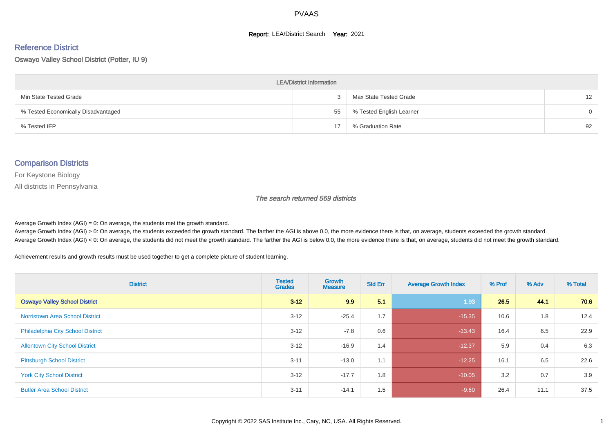#### **Report: LEA/District Search Year: 2021**

#### Reference District

Oswayo Valley School District (Potter, IU 9)

| <b>LEA/District Information</b>     |    |                          |                   |  |  |  |  |  |  |  |
|-------------------------------------|----|--------------------------|-------------------|--|--|--|--|--|--|--|
| Min State Tested Grade              |    | Max State Tested Grade   | $12 \overline{ }$ |  |  |  |  |  |  |  |
| % Tested Economically Disadvantaged | 55 | % Tested English Learner | $\Omega$          |  |  |  |  |  |  |  |
| % Tested IEP                        | 17 | % Graduation Rate        | 92                |  |  |  |  |  |  |  |

#### Comparison Districts

For Keystone Biology

All districts in Pennsylvania

The search returned 569 districts

Average Growth Index  $(AGI) = 0$ : On average, the students met the growth standard.

Average Growth Index (AGI) > 0: On average, the students exceeded the growth standard. The farther the AGI is above 0.0, the more evidence there is that, on average, students exceeded the growth standard. Average Growth Index (AGI) < 0: On average, the students did not meet the growth standard. The farther the AGI is below 0.0, the more evidence there is that, on average, students did not meet the growth standard.

Achievement results and growth results must be used together to get a complete picture of student learning.

| <b>District</b>                          | <b>Tested</b><br><b>Grades</b> | Growth<br><b>Measure</b> | <b>Std Err</b> | <b>Average Growth Index</b> | % Prof | % Adv | % Total |
|------------------------------------------|--------------------------------|--------------------------|----------------|-----------------------------|--------|-------|---------|
| <b>Oswayo Valley School District</b>     | $3 - 12$                       | 9.9                      | 5.1            | 1.93                        | 26.5   | 44.1  | 70.6    |
| <b>Norristown Area School District</b>   | $3 - 12$                       | $-25.4$                  | 1.7            | $-15.35$                    | 10.6   | 1.8   | 12.4    |
| <b>Philadelphia City School District</b> | $3 - 12$                       | $-7.8$                   | 0.6            | $-13.43$                    | 16.4   | 6.5   | 22.9    |
| <b>Allentown City School District</b>    | $3 - 12$                       | $-16.9$                  | 1.4            | $-12.37$                    | 5.9    | 0.4   | 6.3     |
| <b>Pittsburgh School District</b>        | $3 - 11$                       | $-13.0$                  | 1.1            | $-12.25$                    | 16.1   | 6.5   | 22.6    |
| <b>York City School District</b>         | $3 - 12$                       | $-17.7$                  | 1.8            | $-10.05$                    | 3.2    | 0.7   | 3.9     |
| <b>Butler Area School District</b>       | $3 - 11$                       | $-14.1$                  | 1.5            | $-9.60$                     | 26.4   | 11.1  | 37.5    |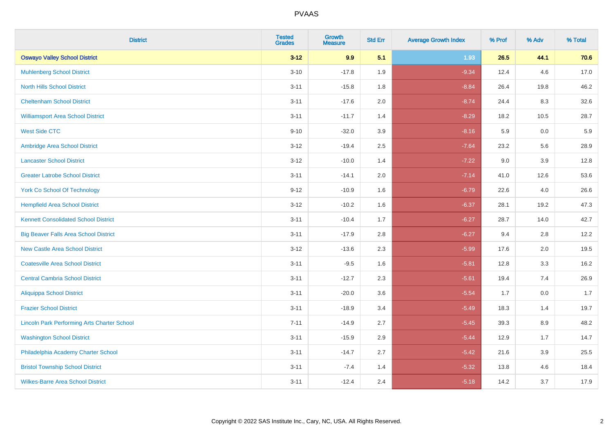| <b>District</b>                                    | <b>Tested</b><br><b>Grades</b> | <b>Growth</b><br><b>Measure</b> | <b>Std Err</b> | <b>Average Growth Index</b> | % Prof | % Adv   | % Total |
|----------------------------------------------------|--------------------------------|---------------------------------|----------------|-----------------------------|--------|---------|---------|
| <b>Oswayo Valley School District</b>               | $3 - 12$                       | 9.9                             | 5.1            | 1.93                        | 26.5   | 44.1    | 70.6    |
| <b>Muhlenberg School District</b>                  | $3 - 10$                       | $-17.8$                         | 1.9            | $-9.34$                     | 12.4   | 4.6     | 17.0    |
| <b>North Hills School District</b>                 | $3 - 11$                       | $-15.8$                         | 1.8            | $-8.84$                     | 26.4   | 19.8    | 46.2    |
| <b>Cheltenham School District</b>                  | $3 - 11$                       | $-17.6$                         | 2.0            | $-8.74$                     | 24.4   | 8.3     | 32.6    |
| <b>Williamsport Area School District</b>           | $3 - 11$                       | $-11.7$                         | 1.4            | $-8.29$                     | 18.2   | 10.5    | 28.7    |
| <b>West Side CTC</b>                               | $9 - 10$                       | $-32.0$                         | 3.9            | $-8.16$                     | 5.9    | 0.0     | 5.9     |
| Ambridge Area School District                      | $3 - 12$                       | $-19.4$                         | 2.5            | $-7.64$                     | 23.2   | 5.6     | 28.9    |
| <b>Lancaster School District</b>                   | $3 - 12$                       | $-10.0$                         | 1.4            | $-7.22$                     | 9.0    | 3.9     | 12.8    |
| <b>Greater Latrobe School District</b>             | $3 - 11$                       | $-14.1$                         | 2.0            | $-7.14$                     | 41.0   | 12.6    | 53.6    |
| <b>York Co School Of Technology</b>                | $9 - 12$                       | $-10.9$                         | 1.6            | $-6.79$                     | 22.6   | 4.0     | 26.6    |
| <b>Hempfield Area School District</b>              | $3 - 12$                       | $-10.2$                         | 1.6            | $-6.37$                     | 28.1   | 19.2    | 47.3    |
| <b>Kennett Consolidated School District</b>        | $3 - 11$                       | $-10.4$                         | 1.7            | $-6.27$                     | 28.7   | 14.0    | 42.7    |
| <b>Big Beaver Falls Area School District</b>       | $3 - 11$                       | $-17.9$                         | 2.8            | $-6.27$                     | 9.4    | 2.8     | 12.2    |
| <b>New Castle Area School District</b>             | $3 - 12$                       | $-13.6$                         | 2.3            | $-5.99$                     | 17.6   | 2.0     | 19.5    |
| <b>Coatesville Area School District</b>            | $3 - 11$                       | $-9.5$                          | 1.6            | $-5.81$                     | 12.8   | 3.3     | 16.2    |
| <b>Central Cambria School District</b>             | $3 - 11$                       | $-12.7$                         | 2.3            | $-5.61$                     | 19.4   | 7.4     | 26.9    |
| <b>Aliquippa School District</b>                   | $3 - 11$                       | $-20.0$                         | 3.6            | $-5.54$                     | 1.7    | 0.0     | 1.7     |
| <b>Frazier School District</b>                     | $3 - 11$                       | $-18.9$                         | 3.4            | $-5.49$                     | 18.3   | 1.4     | 19.7    |
| <b>Lincoln Park Performing Arts Charter School</b> | $7 - 11$                       | $-14.9$                         | 2.7            | $-5.45$                     | 39.3   | 8.9     | 48.2    |
| <b>Washington School District</b>                  | $3 - 11$                       | $-15.9$                         | 2.9            | $-5.44$                     | 12.9   | 1.7     | 14.7    |
| Philadelphia Academy Charter School                | $3 - 11$                       | $-14.7$                         | 2.7            | $-5.42$                     | 21.6   | $3.9\,$ | 25.5    |
| <b>Bristol Township School District</b>            | $3 - 11$                       | $-7.4$                          | 1.4            | $-5.32$                     | 13.8   | 4.6     | 18.4    |
| <b>Wilkes-Barre Area School District</b>           | $3 - 11$                       | $-12.4$                         | 2.4            | $-5.18$                     | 14.2   | 3.7     | 17.9    |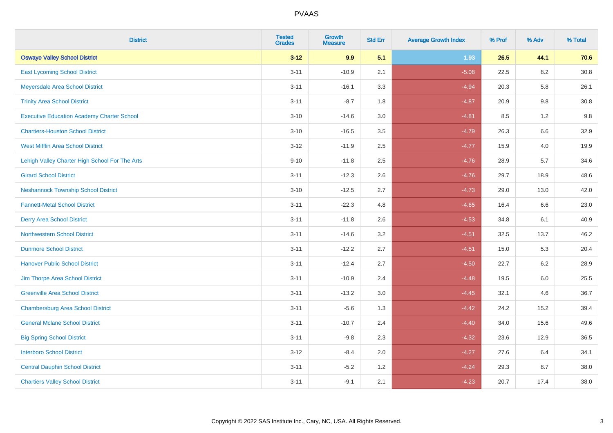| <b>District</b>                                   | <b>Tested</b><br><b>Grades</b> | <b>Growth</b><br><b>Measure</b> | <b>Std Err</b> | <b>Average Growth Index</b> | % Prof | % Adv   | % Total  |
|---------------------------------------------------|--------------------------------|---------------------------------|----------------|-----------------------------|--------|---------|----------|
| <b>Oswayo Valley School District</b>              | $3 - 12$                       | 9.9                             | 5.1            | 1.93                        | 26.5   | 44.1    | 70.6     |
| <b>East Lycoming School District</b>              | $3 - 11$                       | $-10.9$                         | 2.1            | $-5.08$                     | 22.5   | 8.2     | $30.8\,$ |
| Meyersdale Area School District                   | $3 - 11$                       | $-16.1$                         | 3.3            | $-4.94$                     | 20.3   | 5.8     | 26.1     |
| <b>Trinity Area School District</b>               | $3 - 11$                       | $-8.7$                          | 1.8            | $-4.87$                     | 20.9   | 9.8     | 30.8     |
| <b>Executive Education Academy Charter School</b> | $3 - 10$                       | $-14.6$                         | 3.0            | $-4.81$                     | 8.5    | 1.2     | 9.8      |
| <b>Chartiers-Houston School District</b>          | $3 - 10$                       | $-16.5$                         | 3.5            | $-4.79$                     | 26.3   | 6.6     | 32.9     |
| <b>West Mifflin Area School District</b>          | $3 - 12$                       | $-11.9$                         | 2.5            | $-4.77$                     | 15.9   | 4.0     | 19.9     |
| Lehigh Valley Charter High School For The Arts    | $9 - 10$                       | $-11.8$                         | 2.5            | $-4.76$                     | 28.9   | 5.7     | 34.6     |
| <b>Girard School District</b>                     | $3 - 11$                       | $-12.3$                         | 2.6            | $-4.76$                     | 29.7   | 18.9    | 48.6     |
| <b>Neshannock Township School District</b>        | $3 - 10$                       | $-12.5$                         | 2.7            | $-4.73$                     | 29.0   | 13.0    | 42.0     |
| <b>Fannett-Metal School District</b>              | $3 - 11$                       | $-22.3$                         | 4.8            | $-4.65$                     | 16.4   | 6.6     | 23.0     |
| <b>Derry Area School District</b>                 | $3 - 11$                       | $-11.8$                         | 2.6            | $-4.53$                     | 34.8   | 6.1     | 40.9     |
| <b>Northwestern School District</b>               | $3 - 11$                       | $-14.6$                         | 3.2            | $-4.51$                     | 32.5   | 13.7    | 46.2     |
| <b>Dunmore School District</b>                    | $3 - 11$                       | $-12.2$                         | 2.7            | $-4.51$                     | 15.0   | 5.3     | 20.4     |
| <b>Hanover Public School District</b>             | $3 - 11$                       | $-12.4$                         | 2.7            | $-4.50$                     | 22.7   | 6.2     | 28.9     |
| Jim Thorpe Area School District                   | $3 - 11$                       | $-10.9$                         | 2.4            | $-4.48$                     | 19.5   | $6.0\,$ | 25.5     |
| <b>Greenville Area School District</b>            | $3 - 11$                       | $-13.2$                         | 3.0            | $-4.45$                     | 32.1   | 4.6     | 36.7     |
| <b>Chambersburg Area School District</b>          | $3 - 11$                       | $-5.6$                          | 1.3            | $-4.42$                     | 24.2   | 15.2    | 39.4     |
| <b>General Mclane School District</b>             | $3 - 11$                       | $-10.7$                         | 2.4            | $-4.40$                     | 34.0   | 15.6    | 49.6     |
| <b>Big Spring School District</b>                 | $3 - 11$                       | $-9.8$                          | 2.3            | $-4.32$                     | 23.6   | 12.9    | 36.5     |
| <b>Interboro School District</b>                  | $3 - 12$                       | $-8.4$                          | 2.0            | $-4.27$                     | 27.6   | 6.4     | 34.1     |
| <b>Central Dauphin School District</b>            | $3 - 11$                       | $-5.2$                          | 1.2            | $-4.24$                     | 29.3   | 8.7     | 38.0     |
| <b>Chartiers Valley School District</b>           | $3 - 11$                       | $-9.1$                          | 2.1            | $-4.23$                     | 20.7   | 17.4    | 38.0     |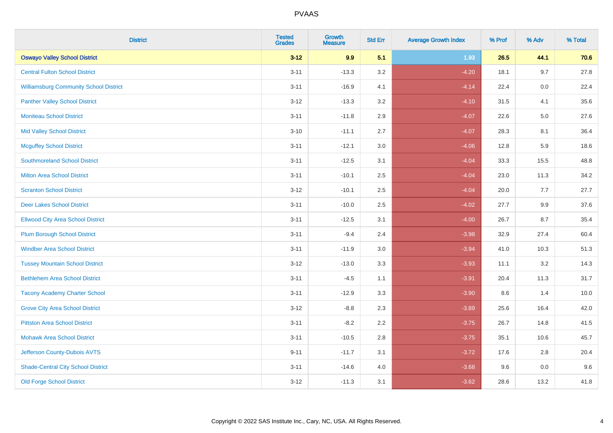| <b>District</b>                               | <b>Tested</b><br><b>Grades</b> | <b>Growth</b><br><b>Measure</b> | <b>Std Err</b> | <b>Average Growth Index</b> | % Prof | % Adv   | % Total |
|-----------------------------------------------|--------------------------------|---------------------------------|----------------|-----------------------------|--------|---------|---------|
| <b>Oswayo Valley School District</b>          | $3 - 12$                       | 9.9                             | 5.1            | 1.93                        | 26.5   | 44.1    | 70.6    |
| <b>Central Fulton School District</b>         | $3 - 11$                       | $-13.3$                         | 3.2            | $-4.20$                     | 18.1   | 9.7     | 27.8    |
| <b>Williamsburg Community School District</b> | $3 - 11$                       | $-16.9$                         | 4.1            | $-4.14$                     | 22.4   | 0.0     | 22.4    |
| <b>Panther Valley School District</b>         | $3 - 12$                       | $-13.3$                         | 3.2            | $-4.10$                     | 31.5   | 4.1     | 35.6    |
| <b>Moniteau School District</b>               | $3 - 11$                       | $-11.8$                         | 2.9            | $-4.07$                     | 22.6   | $5.0\,$ | 27.6    |
| <b>Mid Valley School District</b>             | $3 - 10$                       | $-11.1$                         | 2.7            | $-4.07$                     | 28.3   | 8.1     | 36.4    |
| <b>Mcguffey School District</b>               | $3 - 11$                       | $-12.1$                         | 3.0            | $-4.06$                     | 12.8   | 5.9     | 18.6    |
| <b>Southmoreland School District</b>          | $3 - 11$                       | $-12.5$                         | 3.1            | $-4.04$                     | 33.3   | 15.5    | 48.8    |
| <b>Milton Area School District</b>            | $3 - 11$                       | $-10.1$                         | 2.5            | $-4.04$                     | 23.0   | 11.3    | 34.2    |
| <b>Scranton School District</b>               | $3 - 12$                       | $-10.1$                         | $2.5\,$        | $-4.04$                     | 20.0   | 7.7     | 27.7    |
| <b>Deer Lakes School District</b>             | $3 - 11$                       | $-10.0$                         | 2.5            | $-4.02$                     | 27.7   | 9.9     | 37.6    |
| <b>Ellwood City Area School District</b>      | $3 - 11$                       | $-12.5$                         | 3.1            | $-4.00$                     | 26.7   | 8.7     | 35.4    |
| <b>Plum Borough School District</b>           | $3 - 11$                       | $-9.4$                          | 2.4            | $-3.98$                     | 32.9   | 27.4    | 60.4    |
| <b>Windber Area School District</b>           | $3 - 11$                       | $-11.9$                         | 3.0            | $-3.94$                     | 41.0   | 10.3    | 51.3    |
| <b>Tussey Mountain School District</b>        | $3 - 12$                       | $-13.0$                         | 3.3            | $-3.93$                     | 11.1   | 3.2     | 14.3    |
| <b>Bethlehem Area School District</b>         | $3 - 11$                       | $-4.5$                          | 1.1            | $-3.91$                     | 20.4   | 11.3    | 31.7    |
| <b>Tacony Academy Charter School</b>          | $3 - 11$                       | $-12.9$                         | 3.3            | $-3.90$                     | 8.6    | 1.4     | 10.0    |
| <b>Grove City Area School District</b>        | $3 - 12$                       | $-8.8$                          | 2.3            | $-3.89$                     | 25.6   | 16.4    | 42.0    |
| <b>Pittston Area School District</b>          | $3 - 11$                       | $-8.2$                          | 2.2            | $-3.75$                     | 26.7   | 14.8    | 41.5    |
| <b>Mohawk Area School District</b>            | $3 - 11$                       | $-10.5$                         | 2.8            | $-3.75$                     | 35.1   | 10.6    | 45.7    |
| Jefferson County-Dubois AVTS                  | $9 - 11$                       | $-11.7$                         | 3.1            | $-3.72$                     | 17.6   | 2.8     | 20.4    |
| <b>Shade-Central City School District</b>     | $3 - 11$                       | $-14.6$                         | 4.0            | $-3.68$                     | 9.6    | $0.0\,$ | 9.6     |
| <b>Old Forge School District</b>              | $3 - 12$                       | $-11.3$                         | 3.1            | $-3.62$                     | 28.6   | 13.2    | 41.8    |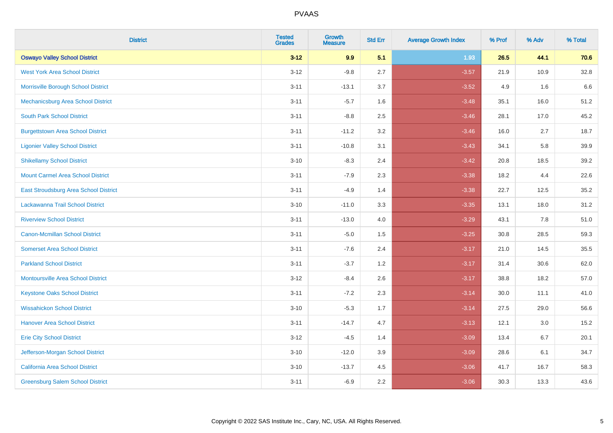| <b>District</b>                              | <b>Tested</b><br><b>Grades</b> | <b>Growth</b><br><b>Measure</b> | <b>Std Err</b> | <b>Average Growth Index</b> | % Prof | % Adv | % Total |
|----------------------------------------------|--------------------------------|---------------------------------|----------------|-----------------------------|--------|-------|---------|
| <b>Oswayo Valley School District</b>         | $3 - 12$                       | 9.9                             | 5.1            | 1.93                        | 26.5   | 44.1  | 70.6    |
| <b>West York Area School District</b>        | $3 - 12$                       | $-9.8$                          | 2.7            | $-3.57$                     | 21.9   | 10.9  | 32.8    |
| Morrisville Borough School District          | $3 - 11$                       | $-13.1$                         | 3.7            | $-3.52$                     | 4.9    | 1.6   | 6.6     |
| Mechanicsburg Area School District           | $3 - 11$                       | $-5.7$                          | 1.6            | $-3.48$                     | 35.1   | 16.0  | 51.2    |
| <b>South Park School District</b>            | $3 - 11$                       | $-8.8$                          | 2.5            | $-3.46$                     | 28.1   | 17.0  | 45.2    |
| <b>Burgettstown Area School District</b>     | $3 - 11$                       | $-11.2$                         | 3.2            | $-3.46$                     | 16.0   | 2.7   | 18.7    |
| <b>Ligonier Valley School District</b>       | $3 - 11$                       | $-10.8$                         | 3.1            | $-3.43$                     | 34.1   | 5.8   | 39.9    |
| <b>Shikellamy School District</b>            | $3 - 10$                       | $-8.3$                          | 2.4            | $-3.42$                     | 20.8   | 18.5  | 39.2    |
| <b>Mount Carmel Area School District</b>     | $3 - 11$                       | $-7.9$                          | 2.3            | $-3.38$                     | 18.2   | 4.4   | 22.6    |
| <b>East Stroudsburg Area School District</b> | $3 - 11$                       | $-4.9$                          | 1.4            | $-3.38$                     | 22.7   | 12.5  | 35.2    |
| Lackawanna Trail School District             | $3 - 10$                       | $-11.0$                         | 3.3            | $-3.35$                     | 13.1   | 18.0  | 31.2    |
| <b>Riverview School District</b>             | $3 - 11$                       | $-13.0$                         | 4.0            | $-3.29$                     | 43.1   | 7.8   | 51.0    |
| <b>Canon-Mcmillan School District</b>        | $3 - 11$                       | $-5.0$                          | 1.5            | $-3.25$                     | 30.8   | 28.5  | 59.3    |
| <b>Somerset Area School District</b>         | $3 - 11$                       | $-7.6$                          | 2.4            | $-3.17$                     | 21.0   | 14.5  | 35.5    |
| <b>Parkland School District</b>              | $3 - 11$                       | $-3.7$                          | 1.2            | $-3.17$                     | 31.4   | 30.6  | 62.0    |
| <b>Montoursville Area School District</b>    | $3 - 12$                       | $-8.4$                          | 2.6            | $-3.17$                     | 38.8   | 18.2  | 57.0    |
| <b>Keystone Oaks School District</b>         | $3 - 11$                       | $-7.2$                          | 2.3            | $-3.14$                     | 30.0   | 11.1  | 41.0    |
| <b>Wissahickon School District</b>           | $3 - 10$                       | $-5.3$                          | 1.7            | $-3.14$                     | 27.5   | 29.0  | 56.6    |
| <b>Hanover Area School District</b>          | $3 - 11$                       | $-14.7$                         | 4.7            | $-3.13$                     | 12.1   | 3.0   | 15.2    |
| <b>Erie City School District</b>             | $3 - 12$                       | $-4.5$                          | 1.4            | $-3.09$                     | 13.4   | 6.7   | 20.1    |
| Jefferson-Morgan School District             | $3 - 10$                       | $-12.0$                         | 3.9            | $-3.09$                     | 28.6   | 6.1   | 34.7    |
| <b>California Area School District</b>       | $3 - 10$                       | $-13.7$                         | 4.5            | $-3.06$                     | 41.7   | 16.7  | 58.3    |
| <b>Greensburg Salem School District</b>      | $3 - 11$                       | $-6.9$                          | 2.2            | $-3.06$                     | 30.3   | 13.3  | 43.6    |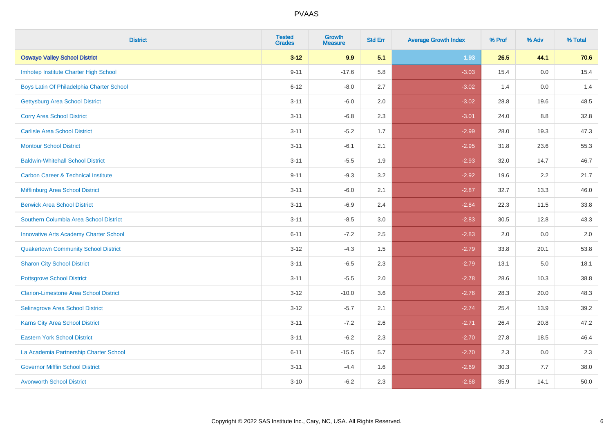| <b>District</b>                                | <b>Tested</b><br><b>Grades</b> | <b>Growth</b><br><b>Measure</b> | <b>Std Err</b> | <b>Average Growth Index</b> | % Prof | % Adv | % Total |
|------------------------------------------------|--------------------------------|---------------------------------|----------------|-----------------------------|--------|-------|---------|
| <b>Oswayo Valley School District</b>           | $3 - 12$                       | 9.9                             | 5.1            | 1.93                        | 26.5   | 44.1  | 70.6    |
| Imhotep Institute Charter High School          | $9 - 11$                       | $-17.6$                         | 5.8            | $-3.03$                     | 15.4   | 0.0   | 15.4    |
| Boys Latin Of Philadelphia Charter School      | $6 - 12$                       | $-8.0$                          | 2.7            | $-3.02$                     | 1.4    | 0.0   | 1.4     |
| <b>Gettysburg Area School District</b>         | $3 - 11$                       | $-6.0$                          | 2.0            | $-3.02$                     | 28.8   | 19.6  | 48.5    |
| <b>Corry Area School District</b>              | $3 - 11$                       | $-6.8$                          | 2.3            | $-3.01$                     | 24.0   | 8.8   | 32.8    |
| <b>Carlisle Area School District</b>           | $3 - 11$                       | $-5.2$                          | 1.7            | $-2.99$                     | 28.0   | 19.3  | 47.3    |
| <b>Montour School District</b>                 | $3 - 11$                       | $-6.1$                          | 2.1            | $-2.95$                     | 31.8   | 23.6  | 55.3    |
| <b>Baldwin-Whitehall School District</b>       | $3 - 11$                       | $-5.5$                          | 1.9            | $-2.93$                     | 32.0   | 14.7  | 46.7    |
| <b>Carbon Career &amp; Technical Institute</b> | $9 - 11$                       | $-9.3$                          | 3.2            | $-2.92$                     | 19.6   | 2.2   | 21.7    |
| <b>Mifflinburg Area School District</b>        | $3 - 11$                       | $-6.0$                          | 2.1            | $-2.87$                     | 32.7   | 13.3  | 46.0    |
| <b>Berwick Area School District</b>            | $3 - 11$                       | $-6.9$                          | 2.4            | $-2.84$                     | 22.3   | 11.5  | 33.8    |
| Southern Columbia Area School District         | $3 - 11$                       | $-8.5$                          | 3.0            | $-2.83$                     | 30.5   | 12.8  | 43.3    |
| <b>Innovative Arts Academy Charter School</b>  | $6 - 11$                       | $-7.2$                          | 2.5            | $-2.83$                     | 2.0    | 0.0   | $2.0\,$ |
| <b>Quakertown Community School District</b>    | $3 - 12$                       | $-4.3$                          | $1.5\,$        | $-2.79$                     | 33.8   | 20.1  | 53.8    |
| <b>Sharon City School District</b>             | $3 - 11$                       | $-6.5$                          | 2.3            | $-2.79$                     | 13.1   | 5.0   | 18.1    |
| <b>Pottsgrove School District</b>              | $3 - 11$                       | $-5.5$                          | 2.0            | $-2.78$                     | 28.6   | 10.3  | 38.8    |
| <b>Clarion-Limestone Area School District</b>  | $3 - 12$                       | $-10.0$                         | 3.6            | $-2.76$                     | 28.3   | 20.0  | 48.3    |
| Selinsgrove Area School District               | $3 - 12$                       | $-5.7$                          | 2.1            | $-2.74$                     | 25.4   | 13.9  | 39.2    |
| <b>Karns City Area School District</b>         | $3 - 11$                       | $-7.2$                          | 2.6            | $-2.71$                     | 26.4   | 20.8  | 47.2    |
| <b>Eastern York School District</b>            | $3 - 11$                       | $-6.2$                          | 2.3            | $-2.70$                     | 27.8   | 18.5  | 46.4    |
| La Academia Partnership Charter School         | $6 - 11$                       | $-15.5$                         | 5.7            | $-2.70$                     | 2.3    | 0.0   | 2.3     |
| <b>Governor Mifflin School District</b>        | $3 - 11$                       | $-4.4$                          | 1.6            | $-2.69$                     | 30.3   | 7.7   | 38.0    |
| <b>Avonworth School District</b>               | $3 - 10$                       | $-6.2$                          | 2.3            | $-2.68$                     | 35.9   | 14.1  | 50.0    |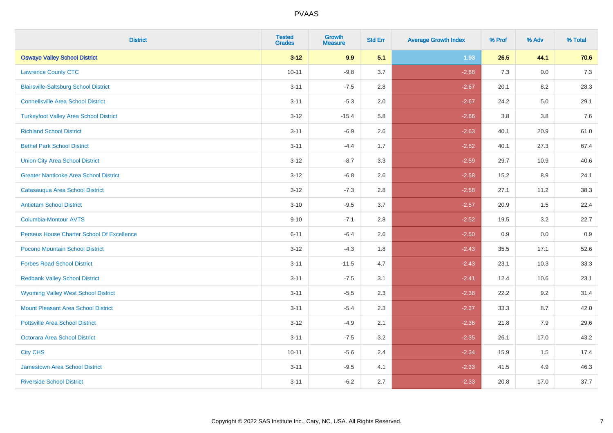| <b>District</b>                               | <b>Tested</b><br><b>Grades</b> | Growth<br><b>Measure</b> | <b>Std Err</b> | <b>Average Growth Index</b> | % Prof | % Adv   | % Total |
|-----------------------------------------------|--------------------------------|--------------------------|----------------|-----------------------------|--------|---------|---------|
| <b>Oswayo Valley School District</b>          | $3 - 12$                       | 9.9                      | 5.1            | 1.93                        | 26.5   | 44.1    | 70.6    |
| <b>Lawrence County CTC</b>                    | $10 - 11$                      | $-9.8$                   | 3.7            | $-2.68$                     | 7.3    | 0.0     | 7.3     |
| <b>Blairsville-Saltsburg School District</b>  | $3 - 11$                       | $-7.5$                   | 2.8            | $-2.67$                     | 20.1   | 8.2     | 28.3    |
| <b>Connellsville Area School District</b>     | $3 - 11$                       | $-5.3$                   | 2.0            | $-2.67$                     | 24.2   | $5.0\,$ | 29.1    |
| <b>Turkeyfoot Valley Area School District</b> | $3 - 12$                       | $-15.4$                  | 5.8            | $-2.66$                     | 3.8    | 3.8     | 7.6     |
| <b>Richland School District</b>               | $3 - 11$                       | $-6.9$                   | 2.6            | $-2.63$                     | 40.1   | 20.9    | 61.0    |
| <b>Bethel Park School District</b>            | $3 - 11$                       | $-4.4$                   | 1.7            | $-2.62$                     | 40.1   | 27.3    | 67.4    |
| <b>Union City Area School District</b>        | $3 - 12$                       | $-8.7$                   | 3.3            | $-2.59$                     | 29.7   | 10.9    | 40.6    |
| <b>Greater Nanticoke Area School District</b> | $3 - 12$                       | $-6.8$                   | 2.6            | $-2.58$                     | 15.2   | 8.9     | 24.1    |
| Catasauqua Area School District               | $3 - 12$                       | $-7.3$                   | 2.8            | $-2.58$                     | 27.1   | 11.2    | 38.3    |
| <b>Antietam School District</b>               | $3 - 10$                       | $-9.5$                   | 3.7            | $-2.57$                     | 20.9   | 1.5     | 22.4    |
| <b>Columbia-Montour AVTS</b>                  | $9 - 10$                       | $-7.1$                   | 2.8            | $-2.52$                     | 19.5   | 3.2     | 22.7    |
| Perseus House Charter School Of Excellence    | $6 - 11$                       | $-6.4$                   | 2.6            | $-2.50$                     | 0.9    | 0.0     | 0.9     |
| Pocono Mountain School District               | $3 - 12$                       | $-4.3$                   | 1.8            | $-2.43$                     | 35.5   | 17.1    | 52.6    |
| <b>Forbes Road School District</b>            | $3 - 11$                       | $-11.5$                  | 4.7            | $-2.43$                     | 23.1   | 10.3    | 33.3    |
| <b>Redbank Valley School District</b>         | $3 - 11$                       | $-7.5$                   | 3.1            | $-2.41$                     | 12.4   | 10.6    | 23.1    |
| <b>Wyoming Valley West School District</b>    | $3 - 11$                       | $-5.5$                   | 2.3            | $-2.38$                     | 22.2   | 9.2     | 31.4    |
| Mount Pleasant Area School District           | $3 - 11$                       | $-5.4$                   | 2.3            | $-2.37$                     | 33.3   | 8.7     | 42.0    |
| <b>Pottsville Area School District</b>        | $3 - 12$                       | $-4.9$                   | 2.1            | $-2.36$                     | 21.8   | 7.9     | 29.6    |
| <b>Octorara Area School District</b>          | $3 - 11$                       | $-7.5$                   | 3.2            | $-2.35$                     | 26.1   | 17.0    | 43.2    |
| <b>City CHS</b>                               | $10 - 11$                      | $-5.6$                   | 2.4            | $-2.34$                     | 15.9   | 1.5     | 17.4    |
| <b>Jamestown Area School District</b>         | $3 - 11$                       | $-9.5$                   | 4.1            | $-2.33$                     | 41.5   | 4.9     | 46.3    |
| <b>Riverside School District</b>              | $3 - 11$                       | $-6.2$                   | 2.7            | $-2.33$                     | 20.8   | 17.0    | 37.7    |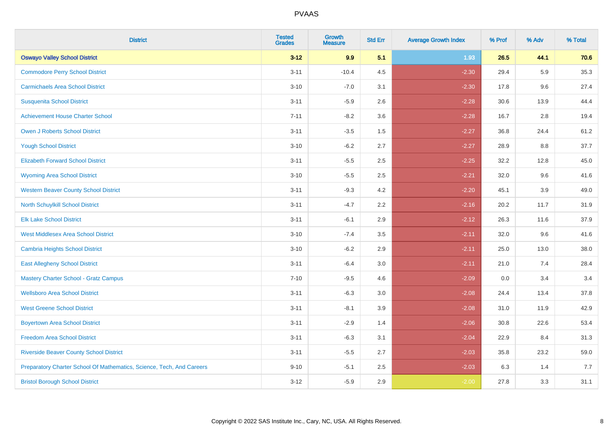| <b>District</b>                                                       | <b>Tested</b><br><b>Grades</b> | <b>Growth</b><br><b>Measure</b> | <b>Std Err</b> | <b>Average Growth Index</b> | % Prof | % Adv   | % Total |
|-----------------------------------------------------------------------|--------------------------------|---------------------------------|----------------|-----------------------------|--------|---------|---------|
| <b>Oswayo Valley School District</b>                                  | $3 - 12$                       | 9.9                             | 5.1            | 1.93                        | 26.5   | 44.1    | 70.6    |
| <b>Commodore Perry School District</b>                                | $3 - 11$                       | $-10.4$                         | 4.5            | $-2.30$                     | 29.4   | 5.9     | 35.3    |
| <b>Carmichaels Area School District</b>                               | $3 - 10$                       | $-7.0$                          | 3.1            | $-2.30$                     | 17.8   | 9.6     | 27.4    |
| <b>Susquenita School District</b>                                     | $3 - 11$                       | $-5.9$                          | 2.6            | $-2.28$                     | 30.6   | 13.9    | 44.4    |
| <b>Achievement House Charter School</b>                               | $7 - 11$                       | $-8.2$                          | 3.6            | $-2.28$                     | 16.7   | 2.8     | 19.4    |
| <b>Owen J Roberts School District</b>                                 | $3 - 11$                       | $-3.5$                          | 1.5            | $-2.27$                     | 36.8   | 24.4    | 61.2    |
| <b>Yough School District</b>                                          | $3 - 10$                       | $-6.2$                          | 2.7            | $-2.27$                     | 28.9   | $8.8\,$ | 37.7    |
| <b>Elizabeth Forward School District</b>                              | $3 - 11$                       | $-5.5$                          | 2.5            | $-2.25$                     | 32.2   | 12.8    | 45.0    |
| <b>Wyoming Area School District</b>                                   | $3 - 10$                       | $-5.5$                          | 2.5            | $-2.21$                     | 32.0   | 9.6     | 41.6    |
| <b>Western Beaver County School District</b>                          | $3 - 11$                       | $-9.3$                          | 4.2            | $-2.20$                     | 45.1   | 3.9     | 49.0    |
| North Schuylkill School District                                      | $3 - 11$                       | $-4.7$                          | 2.2            | $-2.16$                     | 20.2   | 11.7    | 31.9    |
| <b>Elk Lake School District</b>                                       | $3 - 11$                       | $-6.1$                          | 2.9            | $-2.12$                     | 26.3   | 11.6    | 37.9    |
| <b>West Middlesex Area School District</b>                            | $3 - 10$                       | $-7.4$                          | $3.5\,$        | $-2.11$                     | 32.0   | 9.6     | 41.6    |
| Cambria Heights School District                                       | $3 - 10$                       | $-6.2$                          | 2.9            | $-2.11$                     | 25.0   | 13.0    | 38.0    |
| <b>East Allegheny School District</b>                                 | $3 - 11$                       | $-6.4$                          | 3.0            | $-2.11$                     | 21.0   | 7.4     | 28.4    |
| <b>Mastery Charter School - Gratz Campus</b>                          | $7 - 10$                       | $-9.5$                          | 4.6            | $-2.09$                     | 0.0    | 3.4     | 3.4     |
| <b>Wellsboro Area School District</b>                                 | $3 - 11$                       | $-6.3$                          | 3.0            | $-2.08$                     | 24.4   | 13.4    | 37.8    |
| <b>West Greene School District</b>                                    | $3 - 11$                       | $-8.1$                          | 3.9            | $-2.08$                     | 31.0   | 11.9    | 42.9    |
| <b>Boyertown Area School District</b>                                 | $3 - 11$                       | $-2.9$                          | 1.4            | $-2.06$                     | 30.8   | 22.6    | 53.4    |
| <b>Freedom Area School District</b>                                   | $3 - 11$                       | $-6.3$                          | 3.1            | $-2.04$                     | 22.9   | 8.4     | 31.3    |
| <b>Riverside Beaver County School District</b>                        | $3 - 11$                       | $-5.5$                          | 2.7            | $-2.03$                     | 35.8   | 23.2    | 59.0    |
| Preparatory Charter School Of Mathematics, Science, Tech, And Careers | $9 - 10$                       | $-5.1$                          | 2.5            | $-2.03$                     | 6.3    | 1.4     | 7.7     |
| <b>Bristol Borough School District</b>                                | $3 - 12$                       | $-5.9$                          | 2.9            | $-2.00$                     | 27.8   | 3.3     | 31.1    |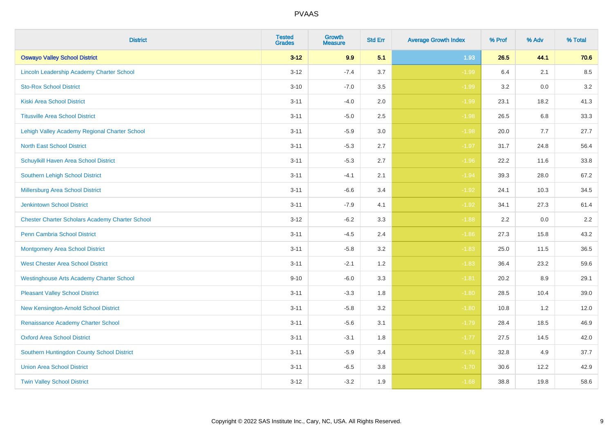| <b>District</b>                                        | <b>Tested</b><br><b>Grades</b> | <b>Growth</b><br><b>Measure</b> | <b>Std Err</b> | <b>Average Growth Index</b> | % Prof | % Adv | % Total |
|--------------------------------------------------------|--------------------------------|---------------------------------|----------------|-----------------------------|--------|-------|---------|
| <b>Oswayo Valley School District</b>                   | $3 - 12$                       | 9.9                             | 5.1            | 1.93                        | 26.5   | 44.1  | 70.6    |
| Lincoln Leadership Academy Charter School              | $3 - 12$                       | $-7.4$                          | 3.7            | $-1.99$                     | 6.4    | 2.1   | 8.5     |
| <b>Sto-Rox School District</b>                         | $3 - 10$                       | $-7.0$                          | 3.5            | $-1.99$                     | 3.2    | 0.0   | 3.2     |
| <b>Kiski Area School District</b>                      | $3 - 11$                       | $-4.0$                          | 2.0            | $-1.99$                     | 23.1   | 18.2  | 41.3    |
| <b>Titusville Area School District</b>                 | $3 - 11$                       | $-5.0$                          | 2.5            | $-1.98$                     | 26.5   | 6.8   | 33.3    |
| Lehigh Valley Academy Regional Charter School          | $3 - 11$                       | $-5.9$                          | 3.0            | $-1.98$                     | 20.0   | 7.7   | 27.7    |
| <b>North East School District</b>                      | $3 - 11$                       | $-5.3$                          | 2.7            | $-1.97$                     | 31.7   | 24.8  | 56.4    |
| Schuylkill Haven Area School District                  | $3 - 11$                       | $-5.3$                          | 2.7            | $-1.96$                     | 22.2   | 11.6  | 33.8    |
| Southern Lehigh School District                        | $3 - 11$                       | $-4.1$                          | 2.1            | $-1.94$                     | 39.3   | 28.0  | 67.2    |
| Millersburg Area School District                       | $3 - 11$                       | $-6.6$                          | 3.4            | $-1.92$                     | 24.1   | 10.3  | 34.5    |
| Jenkintown School District                             | $3 - 11$                       | $-7.9$                          | 4.1            | $-1.92$                     | 34.1   | 27.3  | 61.4    |
| <b>Chester Charter Scholars Academy Charter School</b> | $3 - 12$                       | $-6.2$                          | 3.3            | $-1.88$                     | 2.2    | 0.0   | 2.2     |
| <b>Penn Cambria School District</b>                    | $3 - 11$                       | $-4.5$                          | 2.4            | $-1.86$                     | 27.3   | 15.8  | 43.2    |
| <b>Montgomery Area School District</b>                 | $3 - 11$                       | $-5.8$                          | 3.2            | $-1.83$                     | 25.0   | 11.5  | 36.5    |
| <b>West Chester Area School District</b>               | $3 - 11$                       | $-2.1$                          | 1.2            | $-1.83$                     | 36.4   | 23.2  | 59.6    |
| <b>Westinghouse Arts Academy Charter School</b>        | $9 - 10$                       | $-6.0$                          | 3.3            | $-1.81$                     | 20.2   | 8.9   | 29.1    |
| <b>Pleasant Valley School District</b>                 | $3 - 11$                       | $-3.3$                          | 1.8            | $-1.80$                     | 28.5   | 10.4  | 39.0    |
| New Kensington-Arnold School District                  | $3 - 11$                       | $-5.8$                          | 3.2            | $-1.80$                     | 10.8   | 1.2   | 12.0    |
| Renaissance Academy Charter School                     | $3 - 11$                       | $-5.6$                          | 3.1            | $-1.79$                     | 28.4   | 18.5  | 46.9    |
| <b>Oxford Area School District</b>                     | $3 - 11$                       | $-3.1$                          | 1.8            | $-1.77$                     | 27.5   | 14.5  | 42.0    |
| Southern Huntingdon County School District             | $3 - 11$                       | $-5.9$                          | 3.4            | $-1.76$                     | 32.8   | 4.9   | 37.7    |
| <b>Union Area School District</b>                      | $3 - 11$                       | $-6.5$                          | 3.8            | $-1.70$                     | 30.6   | 12.2  | 42.9    |
| <b>Twin Valley School District</b>                     | $3 - 12$                       | $-3.2$                          | 1.9            | $-1.68$                     | 38.8   | 19.8  | 58.6    |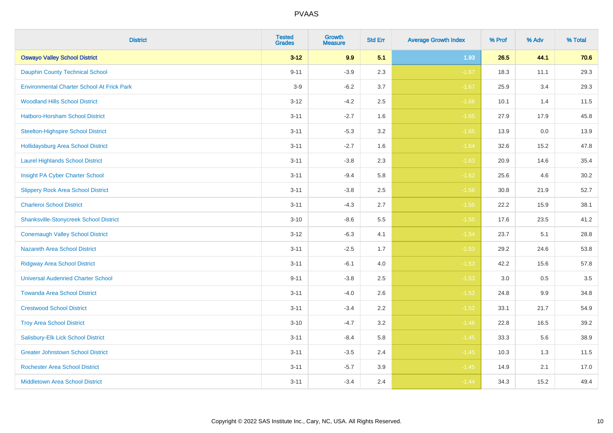| <b>District</b>                                   | <b>Tested</b><br><b>Grades</b> | <b>Growth</b><br><b>Measure</b> | <b>Std Err</b> | <b>Average Growth Index</b> | % Prof | % Adv | % Total |
|---------------------------------------------------|--------------------------------|---------------------------------|----------------|-----------------------------|--------|-------|---------|
| <b>Oswayo Valley School District</b>              | $3 - 12$                       | 9.9                             | 5.1            | 1.93                        | 26.5   | 44.1  | 70.6    |
| <b>Dauphin County Technical School</b>            | $9 - 11$                       | $-3.9$                          | 2.3            | $-1.67$                     | 18.3   | 11.1  | 29.3    |
| <b>Environmental Charter School At Frick Park</b> | $3-9$                          | $-6.2$                          | 3.7            | $-1.67$                     | 25.9   | 3.4   | 29.3    |
| <b>Woodland Hills School District</b>             | $3 - 12$                       | $-4.2$                          | 2.5            | $-1.66$                     | 10.1   | 1.4   | 11.5    |
| Hatboro-Horsham School District                   | $3 - 11$                       | $-2.7$                          | 1.6            | $-1.65$                     | 27.9   | 17.9  | 45.8    |
| <b>Steelton-Highspire School District</b>         | $3 - 11$                       | $-5.3$                          | 3.2            | $-1.65$                     | 13.9   | 0.0   | 13.9    |
| <b>Hollidaysburg Area School District</b>         | $3 - 11$                       | $-2.7$                          | 1.6            | $-1.64$                     | 32.6   | 15.2  | 47.8    |
| <b>Laurel Highlands School District</b>           | $3 - 11$                       | $-3.8$                          | 2.3            | $-1.63$                     | 20.9   | 14.6  | 35.4    |
| Insight PA Cyber Charter School                   | $3 - 11$                       | $-9.4$                          | 5.8            | $-1.62$                     | 25.6   | 4.6   | 30.2    |
| <b>Slippery Rock Area School District</b>         | $3 - 11$                       | $-3.8$                          | 2.5            | $-1.56$                     | 30.8   | 21.9  | 52.7    |
| <b>Charleroi School District</b>                  | $3 - 11$                       | $-4.3$                          | 2.7            | $-1.55$                     | 22.2   | 15.9  | 38.1    |
| <b>Shanksville-Stonycreek School District</b>     | $3 - 10$                       | $-8.6$                          | 5.5            | $-1.55$                     | 17.6   | 23.5  | 41.2    |
| <b>Conemaugh Valley School District</b>           | $3 - 12$                       | $-6.3$                          | 4.1            | $-1.54$                     | 23.7   | 5.1   | 28.8    |
| <b>Nazareth Area School District</b>              | $3 - 11$                       | $-2.5$                          | 1.7            | $-1.53$                     | 29.2   | 24.6  | 53.8    |
| <b>Ridgway Area School District</b>               | $3 - 11$                       | $-6.1$                          | 4.0            | $-1.53$                     | 42.2   | 15.6  | 57.8    |
| <b>Universal Audenried Charter School</b>         | $9 - 11$                       | $-3.8$                          | 2.5            | $-1.53$                     | 3.0    | 0.5   | 3.5     |
| <b>Towanda Area School District</b>               | $3 - 11$                       | $-4.0$                          | 2.6            | $-1.52$                     | 24.8   | 9.9   | 34.8    |
| <b>Crestwood School District</b>                  | $3 - 11$                       | $-3.4$                          | 2.2            | $-1.52$                     | 33.1   | 21.7  | 54.9    |
| <b>Troy Area School District</b>                  | $3 - 10$                       | $-4.7$                          | 3.2            | $-1.46$                     | 22.8   | 16.5  | 39.2    |
| Salisbury-Elk Lick School District                | $3 - 11$                       | $-8.4$                          | 5.8            | $-1.45$                     | 33.3   | 5.6   | 38.9    |
| <b>Greater Johnstown School District</b>          | $3 - 11$                       | $-3.5$                          | 2.4            | $-1.45$                     | 10.3   | 1.3   | 11.5    |
| <b>Rochester Area School District</b>             | $3 - 11$                       | $-5.7$                          | 3.9            | $-1.45$                     | 14.9   | 2.1   | 17.0    |
| <b>Middletown Area School District</b>            | $3 - 11$                       | $-3.4$                          | 2.4            | $-1.44$                     | 34.3   | 15.2  | 49.4    |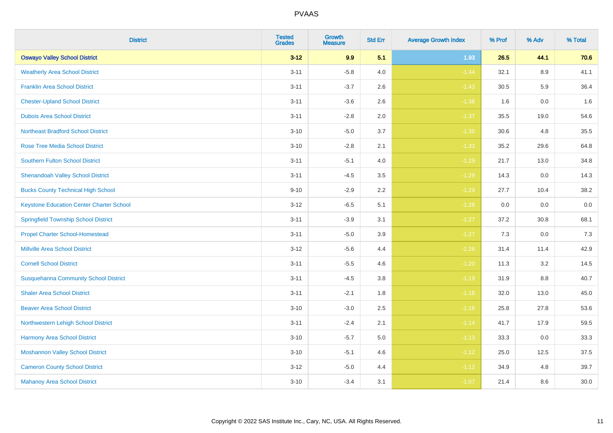| <b>District</b>                                 | <b>Tested</b><br><b>Grades</b> | <b>Growth</b><br><b>Measure</b> | <b>Std Err</b> | <b>Average Growth Index</b> | % Prof | % Adv   | % Total |
|-------------------------------------------------|--------------------------------|---------------------------------|----------------|-----------------------------|--------|---------|---------|
| <b>Oswayo Valley School District</b>            | $3 - 12$                       | 9.9                             | 5.1            | 1.93                        | 26.5   | 44.1    | 70.6    |
| <b>Weatherly Area School District</b>           | $3 - 11$                       | $-5.8$                          | 4.0            | $-1.44$                     | 32.1   | $8.9\,$ | 41.1    |
| <b>Franklin Area School District</b>            | $3 - 11$                       | $-3.7$                          | 2.6            | $-1.43$                     | 30.5   | 5.9     | 36.4    |
| <b>Chester-Upland School District</b>           | $3 - 11$                       | $-3.6$                          | 2.6            | $-1.38$                     | 1.6    | $0.0\,$ | 1.6     |
| <b>Dubois Area School District</b>              | $3 - 11$                       | $-2.8$                          | 2.0            | $-1.37$                     | 35.5   | 19.0    | 54.6    |
| <b>Northeast Bradford School District</b>       | $3 - 10$                       | $-5.0$                          | 3.7            | $-1.35$                     | 30.6   | 4.8     | 35.5    |
| <b>Rose Tree Media School District</b>          | $3 - 10$                       | $-2.8$                          | 2.1            | $-1.33$                     | 35.2   | 29.6    | 64.8    |
| <b>Southern Fulton School District</b>          | $3 - 11$                       | $-5.1$                          | 4.0            | $-1.29$                     | 21.7   | 13.0    | 34.8    |
| <b>Shenandoah Valley School District</b>        | $3 - 11$                       | $-4.5$                          | 3.5            | $-1.29$                     | 14.3   | 0.0     | 14.3    |
| <b>Bucks County Technical High School</b>       | $9 - 10$                       | $-2.9$                          | 2.2            | $-1.29$                     | 27.7   | 10.4    | 38.2    |
| <b>Keystone Education Center Charter School</b> | $3 - 12$                       | $-6.5$                          | 5.1            | $-1.28$                     | 0.0    | 0.0     | $0.0\,$ |
| <b>Springfield Township School District</b>     | $3 - 11$                       | $-3.9$                          | 3.1            | $-1.27$                     | 37.2   | 30.8    | 68.1    |
| <b>Propel Charter School-Homestead</b>          | $3 - 11$                       | $-5.0$                          | 3.9            | $-1.27$                     | 7.3    | 0.0     | $7.3$   |
| <b>Millville Area School District</b>           | $3 - 12$                       | $-5.6$                          | 4.4            | $-1.26$                     | 31.4   | 11.4    | 42.9    |
| <b>Cornell School District</b>                  | $3 - 11$                       | $-5.5$                          | 4.6            | $-1.20$                     | 11.3   | 3.2     | 14.5    |
| <b>Susquehanna Community School District</b>    | $3 - 11$                       | $-4.5$                          | $3.8\,$        | $-1.19$                     | 31.9   | $8.8\,$ | 40.7    |
| <b>Shaler Area School District</b>              | $3 - 11$                       | $-2.1$                          | 1.8            | $-1.18$                     | 32.0   | 13.0    | 45.0    |
| <b>Beaver Area School District</b>              | $3 - 10$                       | $-3.0$                          | 2.5            | $-1.16$                     | 25.8   | 27.8    | 53.6    |
| Northwestern Lehigh School District             | $3 - 11$                       | $-2.4$                          | 2.1            | $-1.14$                     | 41.7   | 17.9    | 59.5    |
| Harmony Area School District                    | $3 - 10$                       | $-5.7$                          | 5.0            | $-1.13$                     | 33.3   | 0.0     | 33.3    |
| <b>Moshannon Valley School District</b>         | $3 - 10$                       | $-5.1$                          | 4.6            | $-1.12$                     | 25.0   | 12.5    | 37.5    |
| <b>Cameron County School District</b>           | $3 - 12$                       | $-5.0$                          | 4.4            | $-1.12$                     | 34.9   | 4.8     | 39.7    |
| <b>Mahanoy Area School District</b>             | $3 - 10$                       | $-3.4$                          | 3.1            | $-1.07$                     | 21.4   | 8.6     | 30.0    |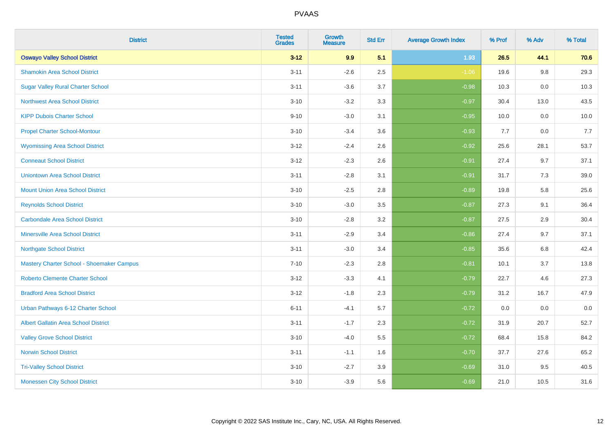| <b>District</b>                             | <b>Tested</b><br><b>Grades</b> | <b>Growth</b><br><b>Measure</b> | <b>Std Err</b> | <b>Average Growth Index</b> | % Prof | % Adv   | % Total |
|---------------------------------------------|--------------------------------|---------------------------------|----------------|-----------------------------|--------|---------|---------|
| <b>Oswayo Valley School District</b>        | $3 - 12$                       | 9.9                             | 5.1            | 1.93                        | 26.5   | 44.1    | 70.6    |
| <b>Shamokin Area School District</b>        | $3 - 11$                       | $-2.6$                          | 2.5            | $-1.06$                     | 19.6   | $9.8\,$ | 29.3    |
| <b>Sugar Valley Rural Charter School</b>    | $3 - 11$                       | $-3.6$                          | 3.7            | $-0.98$                     | 10.3   | 0.0     | 10.3    |
| <b>Northwest Area School District</b>       | $3 - 10$                       | $-3.2$                          | 3.3            | $-0.97$                     | 30.4   | 13.0    | 43.5    |
| <b>KIPP Dubois Charter School</b>           | $9 - 10$                       | $-3.0$                          | 3.1            | $-0.95$                     | 10.0   | 0.0     | 10.0    |
| <b>Propel Charter School-Montour</b>        | $3 - 10$                       | $-3.4$                          | 3.6            | $-0.93$                     | 7.7    | 0.0     | 7.7     |
| <b>Wyomissing Area School District</b>      | $3 - 12$                       | $-2.4$                          | 2.6            | $-0.92$                     | 25.6   | 28.1    | 53.7    |
| <b>Conneaut School District</b>             | $3 - 12$                       | $-2.3$                          | 2.6            | $-0.91$                     | 27.4   | 9.7     | 37.1    |
| <b>Uniontown Area School District</b>       | $3 - 11$                       | $-2.8$                          | 3.1            | $-0.91$                     | 31.7   | 7.3     | 39.0    |
| <b>Mount Union Area School District</b>     | $3 - 10$                       | $-2.5$                          | 2.8            | $-0.89$                     | 19.8   | 5.8     | 25.6    |
| <b>Reynolds School District</b>             | $3 - 10$                       | $-3.0$                          | 3.5            | $-0.87$                     | 27.3   | 9.1     | 36.4    |
| <b>Carbondale Area School District</b>      | $3 - 10$                       | $-2.8$                          | 3.2            | $-0.87$                     | 27.5   | 2.9     | 30.4    |
| <b>Minersville Area School District</b>     | $3 - 11$                       | $-2.9$                          | 3.4            | $-0.86$                     | 27.4   | 9.7     | 37.1    |
| <b>Northgate School District</b>            | $3 - 11$                       | $-3.0$                          | 3.4            | $-0.85$                     | 35.6   | 6.8     | 42.4    |
| Mastery Charter School - Shoemaker Campus   | $7 - 10$                       | $-2.3$                          | 2.8            | $-0.81$                     | 10.1   | 3.7     | 13.8    |
| <b>Roberto Clemente Charter School</b>      | $3 - 12$                       | $-3.3$                          | 4.1            | $-0.79$                     | 22.7   | 4.6     | 27.3    |
| <b>Bradford Area School District</b>        | $3 - 12$                       | $-1.8$                          | 2.3            | $-0.79$                     | 31.2   | 16.7    | 47.9    |
| Urban Pathways 6-12 Charter School          | $6 - 11$                       | $-4.1$                          | 5.7            | $-0.72$                     | 0.0    | 0.0     | $0.0\,$ |
| <b>Albert Gallatin Area School District</b> | $3 - 11$                       | $-1.7$                          | 2.3            | $-0.72$                     | 31.9   | 20.7    | 52.7    |
| <b>Valley Grove School District</b>         | $3 - 10$                       | $-4.0$                          | 5.5            | $-0.72$                     | 68.4   | 15.8    | 84.2    |
| <b>Norwin School District</b>               | $3 - 11$                       | $-1.1$                          | 1.6            | $-0.70$                     | 37.7   | 27.6    | 65.2    |
| <b>Tri-Valley School District</b>           | $3 - 10$                       | $-2.7$                          | 3.9            | $-0.69$                     | 31.0   | 9.5     | 40.5    |
| <b>Monessen City School District</b>        | $3 - 10$                       | $-3.9$                          | 5.6            | $-0.69$                     | 21.0   | 10.5    | 31.6    |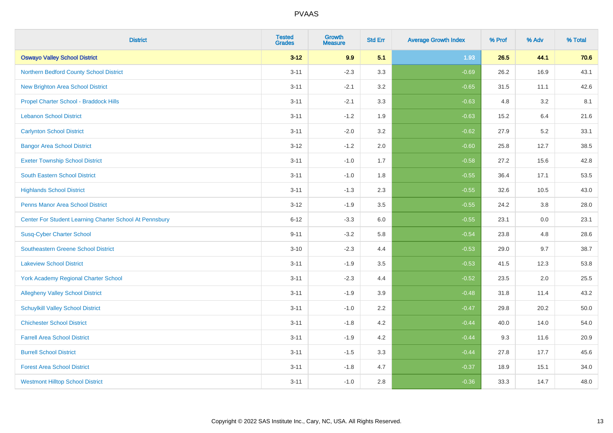| <b>District</b>                                         | <b>Tested</b><br><b>Grades</b> | <b>Growth</b><br><b>Measure</b> | <b>Std Err</b> | <b>Average Growth Index</b> | % Prof | % Adv | % Total |
|---------------------------------------------------------|--------------------------------|---------------------------------|----------------|-----------------------------|--------|-------|---------|
| <b>Oswayo Valley School District</b>                    | $3 - 12$                       | 9.9                             | 5.1            | 1.93                        | 26.5   | 44.1  | 70.6    |
| Northern Bedford County School District                 | $3 - 11$                       | $-2.3$                          | 3.3            | $-0.69$                     | 26.2   | 16.9  | 43.1    |
| <b>New Brighton Area School District</b>                | $3 - 11$                       | $-2.1$                          | 3.2            | $-0.65$                     | 31.5   | 11.1  | 42.6    |
| Propel Charter School - Braddock Hills                  | $3 - 11$                       | $-2.1$                          | 3.3            | $-0.63$                     | 4.8    | 3.2   | 8.1     |
| <b>Lebanon School District</b>                          | $3 - 11$                       | $-1.2$                          | 1.9            | $-0.63$                     | 15.2   | 6.4   | 21.6    |
| <b>Carlynton School District</b>                        | $3 - 11$                       | $-2.0$                          | 3.2            | $-0.62$                     | 27.9   | 5.2   | 33.1    |
| <b>Bangor Area School District</b>                      | $3 - 12$                       | $-1.2$                          | 2.0            | $-0.60$                     | 25.8   | 12.7  | 38.5    |
| <b>Exeter Township School District</b>                  | $3 - 11$                       | $-1.0$                          | 1.7            | $-0.58$                     | 27.2   | 15.6  | 42.8    |
| <b>South Eastern School District</b>                    | $3 - 11$                       | $-1.0$                          | 1.8            | $-0.55$                     | 36.4   | 17.1  | 53.5    |
| <b>Highlands School District</b>                        | $3 - 11$                       | $-1.3$                          | 2.3            | $-0.55$                     | 32.6   | 10.5  | 43.0    |
| <b>Penns Manor Area School District</b>                 | $3 - 12$                       | $-1.9$                          | 3.5            | $-0.55$                     | 24.2   | 3.8   | 28.0    |
| Center For Student Learning Charter School At Pennsbury | $6 - 12$                       | $-3.3$                          | 6.0            | $-0.55$                     | 23.1   | 0.0   | 23.1    |
| <b>Susq-Cyber Charter School</b>                        | $9 - 11$                       | $-3.2$                          | 5.8            | $-0.54$                     | 23.8   | 4.8   | 28.6    |
| Southeastern Greene School District                     | $3 - 10$                       | $-2.3$                          | 4.4            | $-0.53$                     | 29.0   | 9.7   | 38.7    |
| <b>Lakeview School District</b>                         | $3 - 11$                       | $-1.9$                          | 3.5            | $-0.53$                     | 41.5   | 12.3  | 53.8    |
| <b>York Academy Regional Charter School</b>             | $3 - 11$                       | $-2.3$                          | 4.4            | $-0.52$                     | 23.5   | 2.0   | 25.5    |
| <b>Allegheny Valley School District</b>                 | $3 - 11$                       | $-1.9$                          | 3.9            | $-0.48$                     | 31.8   | 11.4  | 43.2    |
| <b>Schuylkill Valley School District</b>                | $3 - 11$                       | $-1.0$                          | 2.2            | $-0.47$                     | 29.8   | 20.2  | 50.0    |
| <b>Chichester School District</b>                       | $3 - 11$                       | $-1.8$                          | 4.2            | $-0.44$                     | 40.0   | 14.0  | 54.0    |
| <b>Farrell Area School District</b>                     | $3 - 11$                       | $-1.9$                          | 4.2            | $-0.44$                     | 9.3    | 11.6  | 20.9    |
| <b>Burrell School District</b>                          | $3 - 11$                       | $-1.5$                          | 3.3            | $-0.44$                     | 27.8   | 17.7  | 45.6    |
| <b>Forest Area School District</b>                      | $3 - 11$                       | $-1.8$                          | 4.7            | $-0.37$                     | 18.9   | 15.1  | 34.0    |
| <b>Westmont Hilltop School District</b>                 | $3 - 11$                       | $-1.0$                          | 2.8            | $-0.36$                     | 33.3   | 14.7  | 48.0    |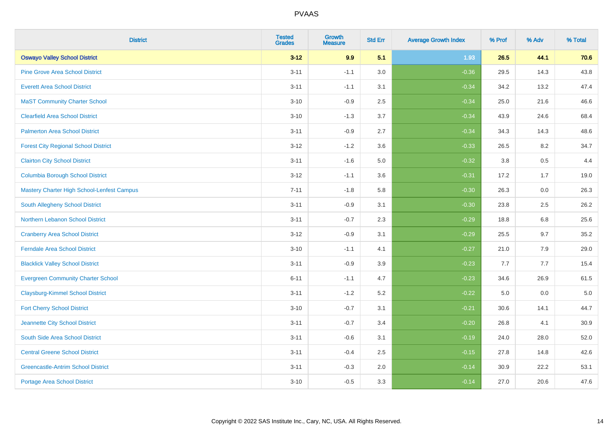| <b>District</b>                             | <b>Tested</b><br><b>Grades</b> | <b>Growth</b><br><b>Measure</b> | <b>Std Err</b> | <b>Average Growth Index</b> | % Prof | % Adv   | % Total |
|---------------------------------------------|--------------------------------|---------------------------------|----------------|-----------------------------|--------|---------|---------|
| <b>Oswayo Valley School District</b>        | $3 - 12$                       | 9.9                             | 5.1            | 1.93                        | 26.5   | 44.1    | 70.6    |
| <b>Pine Grove Area School District</b>      | $3 - 11$                       | $-1.1$                          | 3.0            | $-0.36$                     | 29.5   | 14.3    | 43.8    |
| <b>Everett Area School District</b>         | $3 - 11$                       | $-1.1$                          | 3.1            | $-0.34$                     | 34.2   | 13.2    | 47.4    |
| <b>MaST Community Charter School</b>        | $3 - 10$                       | $-0.9$                          | 2.5            | $-0.34$                     | 25.0   | 21.6    | 46.6    |
| <b>Clearfield Area School District</b>      | $3 - 10$                       | $-1.3$                          | 3.7            | $-0.34$                     | 43.9   | 24.6    | 68.4    |
| <b>Palmerton Area School District</b>       | $3 - 11$                       | $-0.9$                          | 2.7            | $-0.34$                     | 34.3   | 14.3    | 48.6    |
| <b>Forest City Regional School District</b> | $3 - 12$                       | $-1.2$                          | 3.6            | $-0.33$                     | 26.5   | 8.2     | 34.7    |
| <b>Clairton City School District</b>        | $3 - 11$                       | $-1.6$                          | 5.0            | $-0.32$                     | 3.8    | 0.5     | 4.4     |
| <b>Columbia Borough School District</b>     | $3 - 12$                       | $-1.1$                          | 3.6            | $-0.31$                     | 17.2   | 1.7     | 19.0    |
| Mastery Charter High School-Lenfest Campus  | $7 - 11$                       | $-1.8$                          | 5.8            | $-0.30$                     | 26.3   | 0.0     | 26.3    |
| South Allegheny School District             | $3 - 11$                       | $-0.9$                          | 3.1            | $-0.30$                     | 23.8   | 2.5     | 26.2    |
| <b>Northern Lebanon School District</b>     | $3 - 11$                       | $-0.7$                          | 2.3            | $-0.29$                     | 18.8   | 6.8     | 25.6    |
| <b>Cranberry Area School District</b>       | $3 - 12$                       | $-0.9$                          | 3.1            | $-0.29$                     | 25.5   | 9.7     | 35.2    |
| <b>Ferndale Area School District</b>        | $3 - 10$                       | $-1.1$                          | 4.1            | $-0.27$                     | 21.0   | 7.9     | 29.0    |
| <b>Blacklick Valley School District</b>     | $3 - 11$                       | $-0.9$                          | 3.9            | $-0.23$                     | 7.7    | 7.7     | 15.4    |
| <b>Evergreen Community Charter School</b>   | $6 - 11$                       | $-1.1$                          | 4.7            | $-0.23$                     | 34.6   | 26.9    | 61.5    |
| <b>Claysburg-Kimmel School District</b>     | $3 - 11$                       | $-1.2$                          | 5.2            | $-0.22$                     | 5.0    | $0.0\,$ | $5.0$   |
| <b>Fort Cherry School District</b>          | $3 - 10$                       | $-0.7$                          | 3.1            | $-0.21$                     | 30.6   | 14.1    | 44.7    |
| Jeannette City School District              | $3 - 11$                       | $-0.7$                          | 3.4            | $-0.20$                     | 26.8   | 4.1     | 30.9    |
| South Side Area School District             | $3 - 11$                       | $-0.6$                          | 3.1            | $-0.19$                     | 24.0   | 28.0    | 52.0    |
| <b>Central Greene School District</b>       | $3 - 11$                       | $-0.4$                          | 2.5            | $-0.15$                     | 27.8   | 14.8    | 42.6    |
| <b>Greencastle-Antrim School District</b>   | $3 - 11$                       | $-0.3$                          | 2.0            | $-0.14$                     | 30.9   | 22.2    | 53.1    |
| <b>Portage Area School District</b>         | $3 - 10$                       | $-0.5$                          | 3.3            | $-0.14$                     | 27.0   | 20.6    | 47.6    |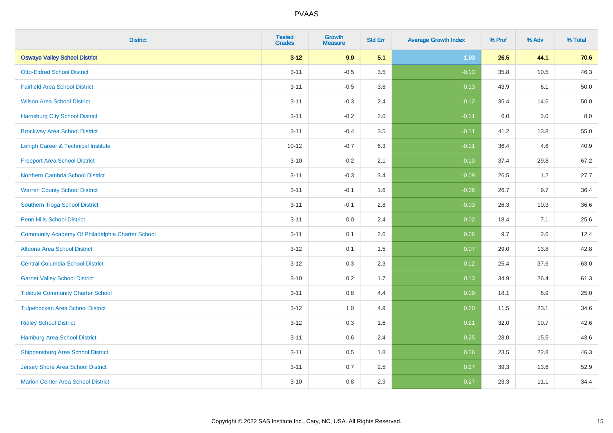| <b>District</b>                                  | <b>Tested</b><br><b>Grades</b> | <b>Growth</b><br><b>Measure</b> | <b>Std Err</b> | <b>Average Growth Index</b> | % Prof | % Adv   | % Total |
|--------------------------------------------------|--------------------------------|---------------------------------|----------------|-----------------------------|--------|---------|---------|
| <b>Oswayo Valley School District</b>             | $3 - 12$                       | 9.9                             | 5.1            | 1.93                        | 26.5   | 44.1    | 70.6    |
| <b>Otto-Eldred School District</b>               | $3 - 11$                       | $-0.5$                          | 3.5            | $-0.13$                     | 35.8   | 10.5    | 46.3    |
| <b>Fairfield Area School District</b>            | $3 - 11$                       | $-0.5$                          | 3.6            | $-0.13$                     | 43.9   | 6.1     | 50.0    |
| <b>Wilson Area School District</b>               | $3 - 11$                       | $-0.3$                          | 2.4            | $-0.12$                     | 35.4   | 14.6    | 50.0    |
| <b>Harrisburg City School District</b>           | $3 - 11$                       | $-0.2$                          | 2.0            | $-0.11$                     | 6.0    | 2.0     | 8.0     |
| <b>Brockway Area School District</b>             | $3 - 11$                       | $-0.4$                          | 3.5            | $-0.11$                     | 41.2   | 13.8    | 55.0    |
| Lehigh Career & Technical Institute              | $10 - 12$                      | $-0.7$                          | 6.3            | $-0.11$                     | 36.4   | 4.6     | 40.9    |
| <b>Freeport Area School District</b>             | $3 - 10$                       | $-0.2$                          | 2.1            | $-0.10$                     | 37.4   | 29.8    | 67.2    |
| <b>Northern Cambria School District</b>          | $3 - 11$                       | $-0.3$                          | 3.4            | $-0.09$                     | 26.5   | 1.2     | 27.7    |
| <b>Warren County School District</b>             | $3 - 11$                       | $-0.1$                          | 1.6            | $-0.06$                     | 26.7   | 9.7     | 36.4    |
| Southern Tioga School District                   | $3 - 11$                       | $-0.1$                          | 2.8            | $-0.03$                     | 26.3   | 10.3    | 36.6    |
| <b>Penn Hills School District</b>                | $3 - 11$                       | 0.0                             | 2.4            | 0.02                        | 18.4   | 7.1     | 25.6    |
| Community Academy Of Philadelphia Charter School | $3 - 11$                       | 0.1                             | 2.6            | 0.06                        | 9.7    | $2.6\,$ | 12.4    |
| Altoona Area School District                     | $3 - 12$                       | 0.1                             | 1.5            | 0.07                        | 29.0   | 13.8    | 42.8    |
| <b>Central Columbia School District</b>          | $3 - 12$                       | 0.3                             | 2.3            | 0.12                        | 25.4   | 37.6    | 63.0    |
| <b>Garnet Valley School District</b>             | $3 - 10$                       | 0.2                             | 1.7            | 0.13                        | 34.9   | 26.4    | 61.3    |
| <b>Tidioute Community Charter School</b>         | $3 - 11$                       | 0.8                             | 4.4            | 0.19                        | 18.1   | 6.9     | 25.0    |
| <b>Tulpehocken Area School District</b>          | $3 - 12$                       | 1.0                             | 4.9            | 0.20                        | 11.5   | 23.1    | 34.6    |
| <b>Ridley School District</b>                    | $3 - 12$                       | 0.3                             | 1.6            | 0.21                        | 32.0   | 10.7    | 42.6    |
| Hamburg Area School District                     | $3 - 11$                       | 0.6                             | 2.4            | 0.25                        | 28.0   | 15.5    | 43.6    |
| <b>Shippensburg Area School District</b>         | $3 - 11$                       | 0.5                             | 1.8            | 0.26                        | 23.5   | 22.8    | 46.3    |
| <b>Jersey Shore Area School District</b>         | $3 - 11$                       | 0.7                             | 2.5            | 0.27                        | 39.3   | 13.6    | 52.9    |
| <b>Marion Center Area School District</b>        | $3 - 10$                       | 0.8                             | 2.9            | 0.27                        | 23.3   | 11.1    | 34.4    |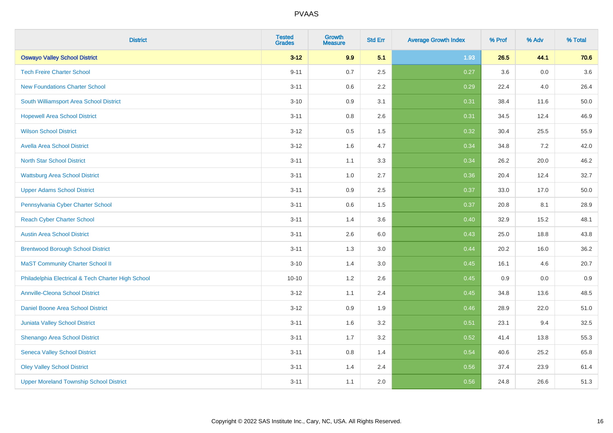| <b>District</b>                                    | <b>Tested</b><br><b>Grades</b> | <b>Growth</b><br><b>Measure</b> | <b>Std Err</b> | <b>Average Growth Index</b> | % Prof | % Adv   | % Total |
|----------------------------------------------------|--------------------------------|---------------------------------|----------------|-----------------------------|--------|---------|---------|
| <b>Oswayo Valley School District</b>               | $3 - 12$                       | 9.9                             | 5.1            | 1.93                        | 26.5   | 44.1    | 70.6    |
| <b>Tech Freire Charter School</b>                  | $9 - 11$                       | 0.7                             | 2.5            | 0.27                        | 3.6    | 0.0     | 3.6     |
| <b>New Foundations Charter School</b>              | $3 - 11$                       | 0.6                             | 2.2            | 0.29                        | 22.4   | 4.0     | 26.4    |
| South Williamsport Area School District            | $3 - 10$                       | 0.9                             | 3.1            | 0.31                        | 38.4   | 11.6    | 50.0    |
| <b>Hopewell Area School District</b>               | $3 - 11$                       | 0.8                             | 2.6            | 0.31                        | 34.5   | 12.4    | 46.9    |
| <b>Wilson School District</b>                      | $3 - 12$                       | 0.5                             | 1.5            | 0.32                        | 30.4   | 25.5    | 55.9    |
| <b>Avella Area School District</b>                 | $3 - 12$                       | 1.6                             | 4.7            | 0.34                        | 34.8   | 7.2     | 42.0    |
| <b>North Star School District</b>                  | $3 - 11$                       | 1.1                             | 3.3            | 0.34                        | 26.2   | 20.0    | 46.2    |
| <b>Wattsburg Area School District</b>              | $3 - 11$                       | 1.0                             | 2.7            | 0.36                        | 20.4   | 12.4    | 32.7    |
| <b>Upper Adams School District</b>                 | $3 - 11$                       | 0.9                             | 2.5            | 0.37                        | 33.0   | 17.0    | 50.0    |
| Pennsylvania Cyber Charter School                  | $3 - 11$                       | 0.6                             | 1.5            | 0.37                        | 20.8   | 8.1     | 28.9    |
| <b>Reach Cyber Charter School</b>                  | $3 - 11$                       | 1.4                             | 3.6            | 0.40                        | 32.9   | 15.2    | 48.1    |
| <b>Austin Area School District</b>                 | $3 - 11$                       | 2.6                             | 6.0            | 0.43                        | 25.0   | 18.8    | 43.8    |
| <b>Brentwood Borough School District</b>           | $3 - 11$                       | 1.3                             | 3.0            | 0.44                        | 20.2   | 16.0    | 36.2    |
| <b>MaST Community Charter School II</b>            | $3 - 10$                       | 1.4                             | 3.0            | 0.45                        | 16.1   | 4.6     | 20.7    |
| Philadelphia Electrical & Tech Charter High School | $10 - 10$                      | 1.2                             | 2.6            | 0.45                        | 0.9    | $0.0\,$ | 0.9     |
| <b>Annville-Cleona School District</b>             | $3 - 12$                       | 1.1                             | 2.4            | 0.45                        | 34.8   | 13.6    | 48.5    |
| Daniel Boone Area School District                  | $3 - 12$                       | 0.9                             | 1.9            | 0.46                        | 28.9   | 22.0    | 51.0    |
| Juniata Valley School District                     | $3 - 11$                       | 1.6                             | 3.2            | 0.51                        | 23.1   | 9.4     | 32.5    |
| Shenango Area School District                      | $3 - 11$                       | 1.7                             | 3.2            | 0.52                        | 41.4   | 13.8    | 55.3    |
| <b>Seneca Valley School District</b>               | $3 - 11$                       | $0.8\,$                         | 1.4            | 0.54                        | 40.6   | 25.2    | 65.8    |
| <b>Oley Valley School District</b>                 | $3 - 11$                       | 1.4                             | 2.4            | 0.56                        | 37.4   | 23.9    | 61.4    |
| <b>Upper Moreland Township School District</b>     | $3 - 11$                       | 1.1                             | 2.0            | 0.56                        | 24.8   | 26.6    | 51.3    |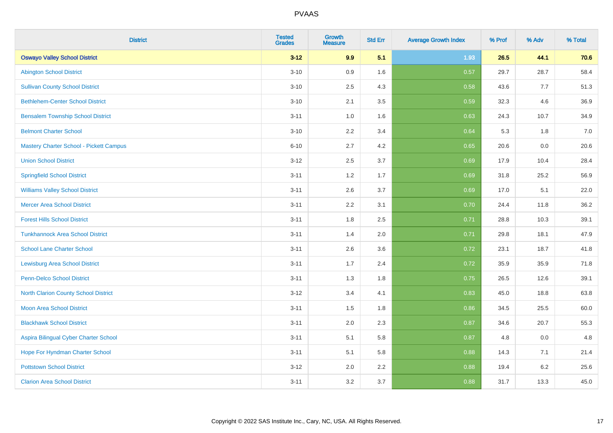| <b>District</b>                          | <b>Tested</b><br><b>Grades</b> | <b>Growth</b><br><b>Measure</b> | <b>Std Err</b> | <b>Average Growth Index</b> | % Prof | % Adv | % Total |
|------------------------------------------|--------------------------------|---------------------------------|----------------|-----------------------------|--------|-------|---------|
| <b>Oswayo Valley School District</b>     | $3 - 12$                       | 9.9                             | 5.1            | 1.93                        | 26.5   | 44.1  | 70.6    |
| <b>Abington School District</b>          | $3 - 10$                       | 0.9                             | 1.6            | 0.57                        | 29.7   | 28.7  | 58.4    |
| <b>Sullivan County School District</b>   | $3 - 10$                       | 2.5                             | 4.3            | 0.58                        | 43.6   | 7.7   | 51.3    |
| <b>Bethlehem-Center School District</b>  | $3 - 10$                       | 2.1                             | 3.5            | 0.59                        | 32.3   | 4.6   | 36.9    |
| <b>Bensalem Township School District</b> | $3 - 11$                       | 1.0                             | 1.6            | 0.63                        | 24.3   | 10.7  | 34.9    |
| <b>Belmont Charter School</b>            | $3 - 10$                       | 2.2                             | 3.4            | 0.64                        | 5.3    | 1.8   | 7.0     |
| Mastery Charter School - Pickett Campus  | $6 - 10$                       | 2.7                             | 4.2            | 0.65                        | 20.6   | 0.0   | 20.6    |
| <b>Union School District</b>             | $3 - 12$                       | 2.5                             | 3.7            | 0.69                        | 17.9   | 10.4  | 28.4    |
| <b>Springfield School District</b>       | $3 - 11$                       | 1.2                             | 1.7            | 0.69                        | 31.8   | 25.2  | 56.9    |
| <b>Williams Valley School District</b>   | $3 - 11$                       | 2.6                             | 3.7            | 0.69                        | 17.0   | 5.1   | 22.0    |
| <b>Mercer Area School District</b>       | $3 - 11$                       | 2.2                             | 3.1            | 0.70                        | 24.4   | 11.8  | 36.2    |
| <b>Forest Hills School District</b>      | $3 - 11$                       | 1.8                             | 2.5            | 0.71                        | 28.8   | 10.3  | 39.1    |
| <b>Tunkhannock Area School District</b>  | $3 - 11$                       | 1.4                             | 2.0            | 0.71                        | 29.8   | 18.1  | 47.9    |
| <b>School Lane Charter School</b>        | $3 - 11$                       | 2.6                             | 3.6            | 0.72                        | 23.1   | 18.7  | 41.8    |
| <b>Lewisburg Area School District</b>    | $3 - 11$                       | 1.7                             | 2.4            | 0.72                        | 35.9   | 35.9  | 71.8    |
| Penn-Delco School District               | $3 - 11$                       | 1.3                             | 1.8            | 0.75                        | 26.5   | 12.6  | 39.1    |
| North Clarion County School District     | $3 - 12$                       | 3.4                             | 4.1            | 0.83                        | 45.0   | 18.8  | 63.8    |
| <b>Moon Area School District</b>         | $3 - 11$                       | 1.5                             | 1.8            | 0.86                        | 34.5   | 25.5  | 60.0    |
| <b>Blackhawk School District</b>         | $3 - 11$                       | 2.0                             | 2.3            | 0.87                        | 34.6   | 20.7  | 55.3    |
| Aspira Bilingual Cyber Charter School    | $3 - 11$                       | 5.1                             | 5.8            | 0.87                        | 4.8    | 0.0   | 4.8     |
| Hope For Hyndman Charter School          | $3 - 11$                       | 5.1                             | 5.8            | 0.88                        | 14.3   | 7.1   | 21.4    |
| <b>Pottstown School District</b>         | $3 - 12$                       | 2.0                             | 2.2            | 0.88                        | 19.4   | 6.2   | 25.6    |
| <b>Clarion Area School District</b>      | $3 - 11$                       | 3.2                             | 3.7            | 0.88                        | 31.7   | 13.3  | 45.0    |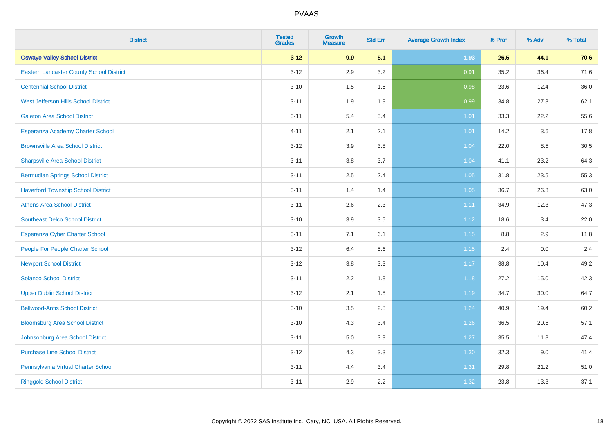| <b>District</b>                                 | <b>Tested</b><br><b>Grades</b> | Growth<br><b>Measure</b> | <b>Std Err</b> | <b>Average Growth Index</b> | % Prof | % Adv | % Total |
|-------------------------------------------------|--------------------------------|--------------------------|----------------|-----------------------------|--------|-------|---------|
| <b>Oswayo Valley School District</b>            | $3 - 12$                       | 9.9                      | 5.1            | 1.93                        | 26.5   | 44.1  | 70.6    |
| <b>Eastern Lancaster County School District</b> | $3 - 12$                       | 2.9                      | 3.2            | 0.91                        | 35.2   | 36.4  | 71.6    |
| <b>Centennial School District</b>               | $3 - 10$                       | 1.5                      | 1.5            | 0.98                        | 23.6   | 12.4  | 36.0    |
| West Jefferson Hills School District            | $3 - 11$                       | 1.9                      | 1.9            | 0.99                        | 34.8   | 27.3  | 62.1    |
| <b>Galeton Area School District</b>             | $3 - 11$                       | 5.4                      | 5.4            | $1.01$                      | 33.3   | 22.2  | 55.6    |
| Esperanza Academy Charter School                | $4 - 11$                       | 2.1                      | 2.1            | $1.01$                      | 14.2   | 3.6   | 17.8    |
| <b>Brownsville Area School District</b>         | $3 - 12$                       | 3.9                      | 3.8            | 1.04                        | 22.0   | 8.5   | 30.5    |
| <b>Sharpsville Area School District</b>         | $3 - 11$                       | 3.8                      | 3.7            | 1.04                        | 41.1   | 23.2  | 64.3    |
| <b>Bermudian Springs School District</b>        | $3 - 11$                       | 2.5                      | 2.4            | 1.05                        | 31.8   | 23.5  | 55.3    |
| <b>Haverford Township School District</b>       | $3 - 11$                       | 1.4                      | 1.4            | 1.05                        | 36.7   | 26.3  | 63.0    |
| <b>Athens Area School District</b>              | $3 - 11$                       | 2.6                      | 2.3            | 1.11                        | 34.9   | 12.3  | 47.3    |
| <b>Southeast Delco School District</b>          | $3 - 10$                       | 3.9                      | 3.5            | 1.12                        | 18.6   | 3.4   | 22.0    |
| Esperanza Cyber Charter School                  | $3 - 11$                       | 7.1                      | 6.1            | 1.15                        | 8.8    | 2.9   | 11.8    |
| People For People Charter School                | $3 - 12$                       | 6.4                      | 5.6            | 1.15                        | 2.4    | 0.0   | 2.4     |
| <b>Newport School District</b>                  | $3 - 12$                       | $3.8\,$                  | 3.3            | 1.17                        | 38.8   | 10.4  | 49.2    |
| <b>Solanco School District</b>                  | $3 - 11$                       | 2.2                      | 1.8            | 1.18                        | 27.2   | 15.0  | 42.3    |
| <b>Upper Dublin School District</b>             | $3 - 12$                       | 2.1                      | 1.8            | 1.19                        | 34.7   | 30.0  | 64.7    |
| <b>Bellwood-Antis School District</b>           | $3 - 10$                       | 3.5                      | 2.8            | 1.24                        | 40.9   | 19.4  | 60.2    |
| <b>Bloomsburg Area School District</b>          | $3 - 10$                       | 4.3                      | 3.4            | 1.26                        | 36.5   | 20.6  | 57.1    |
| Johnsonburg Area School District                | $3 - 11$                       | 5.0                      | 3.9            | 1.27                        | 35.5   | 11.8  | 47.4    |
| <b>Purchase Line School District</b>            | $3 - 12$                       | 4.3                      | 3.3            | 1.30                        | 32.3   | 9.0   | 41.4    |
| Pennsylvania Virtual Charter School             | $3 - 11$                       | 4.4                      | 3.4            | 1.31                        | 29.8   | 21.2  | 51.0    |
| <b>Ringgold School District</b>                 | $3 - 11$                       | 2.9                      | 2.2            | 1.32                        | 23.8   | 13.3  | 37.1    |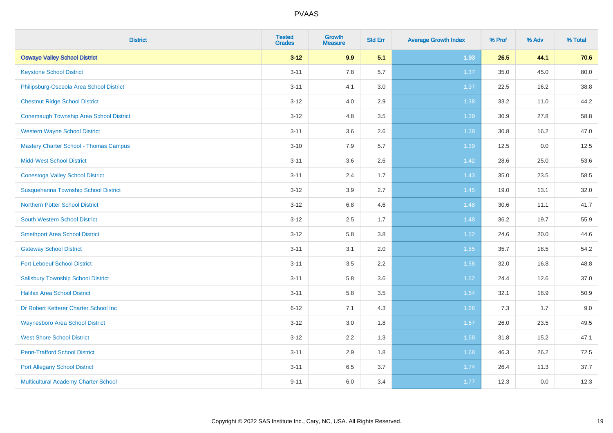| <b>District</b>                                | <b>Tested</b><br><b>Grades</b> | <b>Growth</b><br><b>Measure</b> | <b>Std Err</b> | <b>Average Growth Index</b> | % Prof | % Adv | % Total |
|------------------------------------------------|--------------------------------|---------------------------------|----------------|-----------------------------|--------|-------|---------|
| <b>Oswayo Valley School District</b>           | $3 - 12$                       | 9.9                             | 5.1            | 1.93                        | 26.5   | 44.1  | 70.6    |
| <b>Keystone School District</b>                | $3 - 11$                       | 7.8                             | 5.7            | 1.37                        | 35.0   | 45.0  | 80.0    |
| Philipsburg-Osceola Area School District       | $3 - 11$                       | 4.1                             | 3.0            | 1.37                        | 22.5   | 16.2  | 38.8    |
| <b>Chestnut Ridge School District</b>          | $3 - 12$                       | 4.0                             | 2.9            | 1.38                        | 33.2   | 11.0  | 44.2    |
| <b>Conemaugh Township Area School District</b> | $3 - 12$                       | 4.8                             | 3.5            | 1.39                        | 30.9   | 27.8  | 58.8    |
| <b>Western Wayne School District</b>           | $3 - 11$                       | 3.6                             | 2.6            | 1.39                        | 30.8   | 16.2  | 47.0    |
| <b>Mastery Charter School - Thomas Campus</b>  | $3 - 10$                       | 7.9                             | 5.7            | 1.39                        | 12.5   | 0.0   | 12.5    |
| <b>Midd-West School District</b>               | $3 - 11$                       | 3.6                             | 2.6            | 1.42                        | 28.6   | 25.0  | 53.6    |
| <b>Conestoga Valley School District</b>        | $3 - 11$                       | 2.4                             | 1.7            | 1.43                        | 35.0   | 23.5  | 58.5    |
| Susquehanna Township School District           | $3 - 12$                       | 3.9                             | 2.7            | 1.45                        | 19.0   | 13.1  | 32.0    |
| <b>Northern Potter School District</b>         | $3 - 12$                       | $6.8\,$                         | 4.6            | 1.48                        | 30.6   | 11.1  | 41.7    |
| South Western School District                  | $3 - 12$                       | 2.5                             | 1.7            | 1.48                        | 36.2   | 19.7  | 55.9    |
| <b>Smethport Area School District</b>          | $3 - 12$                       | 5.8                             | 3.8            | 1.52                        | 24.6   | 20.0  | 44.6    |
| <b>Gateway School District</b>                 | $3 - 11$                       | 3.1                             | 2.0            | 1.55                        | 35.7   | 18.5  | 54.2    |
| <b>Fort Leboeuf School District</b>            | $3 - 11$                       | 3.5                             | 2.2            | 1.58                        | 32.0   | 16.8  | 48.8    |
| <b>Salisbury Township School District</b>      | $3 - 11$                       | 5.8                             | 3.6            | 1.62                        | 24.4   | 12.6  | 37.0    |
| <b>Halifax Area School District</b>            | $3 - 11$                       | 5.8                             | 3.5            | 1.64                        | 32.1   | 18.9  | 50.9    |
| Dr Robert Ketterer Charter School Inc          | $6 - 12$                       | 7.1                             | 4.3            | 1.66                        | 7.3    | 1.7   | 9.0     |
| <b>Waynesboro Area School District</b>         | $3 - 12$                       | 3.0                             | 1.8            | 1.67                        | 26.0   | 23.5  | 49.5    |
| <b>West Shore School District</b>              | $3 - 12$                       | 2.2                             | 1.3            | 1.68                        | 31.8   | 15.2  | 47.1    |
| <b>Penn-Trafford School District</b>           | $3 - 11$                       | 2.9                             | 1.8            | 1.68                        | 46.3   | 26.2  | 72.5    |
| <b>Port Allegany School District</b>           | $3 - 11$                       | 6.5                             | 3.7            | 1.74                        | 26.4   | 11.3  | 37.7    |
| Multicultural Academy Charter School           | $9 - 11$                       | 6.0                             | 3.4            | 1.77                        | 12.3   | 0.0   | 12.3    |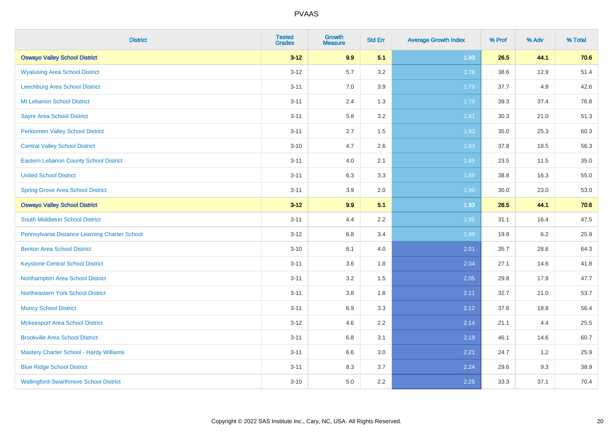| <b>District</b>                               | <b>Tested</b><br><b>Grades</b> | <b>Growth</b><br><b>Measure</b> | <b>Std Err</b> | <b>Average Growth Index</b> | % Prof | % Adv | % Total |
|-----------------------------------------------|--------------------------------|---------------------------------|----------------|-----------------------------|--------|-------|---------|
| <b>Oswayo Valley School District</b>          | $3 - 12$                       | 9.9                             | 5.1            | 1.93                        | 26.5   | 44.1  | 70.6    |
| <b>Wyalusing Area School District</b>         | $3 - 12$                       | 5.7                             | 3.2            | 1.78                        | 38.6   | 12.9  | 51.4    |
| Leechburg Area School District                | $3 - 11$                       | 7.0                             | 3.9            | 1.79                        | 37.7   | 4.9   | 42.6    |
| Mt Lebanon School District                    | $3 - 11$                       | 2.4                             | 1.3            | 1.79                        | 39.3   | 37.4  | 76.8    |
| <b>Sayre Area School District</b>             | $3 - 11$                       | 5.8                             | 3.2            | 1.81                        | 30.3   | 21.0  | 51.3    |
| <b>Perkiomen Valley School District</b>       | $3 - 11$                       | 2.7                             | 1.5            | 1.83                        | 35.0   | 25.3  | 60.3    |
| <b>Central Valley School District</b>         | $3 - 10$                       | 4.7                             | 2.6            | 1.83                        | 37.8   | 18.5  | 56.3    |
| <b>Eastern Lebanon County School District</b> | $3 - 11$                       | 4.0                             | 2.1            | 1.89                        | 23.5   | 11.5  | 35.0    |
| <b>United School District</b>                 | $3 - 11$                       | 6.3                             | 3.3            | 1.89                        | 38.8   | 16.3  | 55.0    |
| <b>Spring Grove Area School District</b>      | $3 - 11$                       | 3.9                             | 2.0            | 1.90                        | 30.0   | 23.0  | 53.0    |
| <b>Oswayo Valley School District</b>          | $3 - 12$                       | 9.9                             | 5.1            | 1.93                        | 26.5   | 44.1  | 70.6    |
| South Middleton School District               | $3 - 11$                       | 4.4                             | 2.2            | 1.95                        | 31.1   | 16.4  | 47.5    |
| Pennsylvania Distance Learning Charter School | $3 - 12$                       | $6.8\,$                         | 3.4            | 1.99                        | 19.8   | 6.2   | 25.9    |
| <b>Benton Area School District</b>            | $3 - 10$                       | 8.1                             | 4.0            | 2.01                        | 35.7   | 28.6  | 64.3    |
| <b>Keystone Central School District</b>       | $3 - 11$                       | 3.6                             | 1.8            | 2.04                        | 27.1   | 14.6  | 41.8    |
| Northampton Area School District              | $3 - 11$                       | 3.2                             | 1.5            | 2.05                        | 29.8   | 17.9  | 47.7    |
| Northeastern York School District             | $3 - 11$                       | 3.8                             | 1.8            | 2.11                        | 32.7   | 21.0  | 53.7    |
| <b>Muncy School District</b>                  | $3 - 11$                       | 6.9                             | 3.3            | 2.12                        | 37.6   | 18.8  | 56.4    |
| <b>Mckeesport Area School District</b>        | $3 - 12$                       | 4.6                             | 2.2            | 2.14                        | 21.1   | 4.4   | 25.5    |
| <b>Brookville Area School District</b>        | $3 - 11$                       | $6.8\,$                         | 3.1            | 2.19                        | 46.1   | 14.6  | 60.7    |
| Mastery Charter School - Hardy Williams       | $3 - 11$                       | 6.6                             | 3.0            | 2.21                        | 24.7   | 1.2   | 25.9    |
| <b>Blue Ridge School District</b>             | $3 - 11$                       | 8.3                             | 3.7            | 2.24                        | 29.6   | 9.3   | 38.9    |
| <b>Wallingford-Swarthmore School District</b> | $3 - 10$                       | 5.0                             | 2.2            | 2.25                        | 33.3   | 37.1  | 70.4    |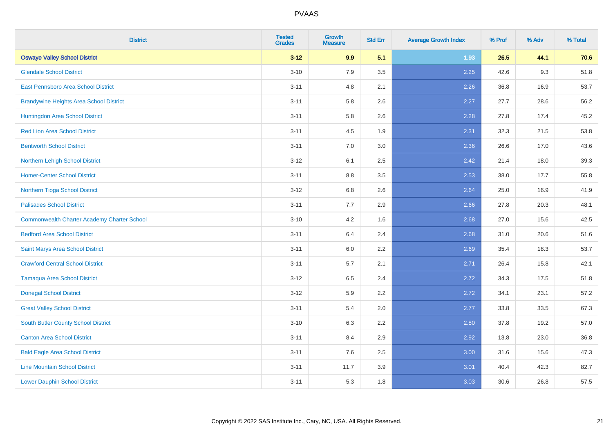| <b>District</b>                                    | <b>Tested</b><br><b>Grades</b> | <b>Growth</b><br><b>Measure</b> | <b>Std Err</b> | <b>Average Growth Index</b> | % Prof | % Adv | % Total |
|----------------------------------------------------|--------------------------------|---------------------------------|----------------|-----------------------------|--------|-------|---------|
| <b>Oswayo Valley School District</b>               | $3 - 12$                       | 9.9                             | 5.1            | 1.93                        | 26.5   | 44.1  | 70.6    |
| <b>Glendale School District</b>                    | $3 - 10$                       | 7.9                             | 3.5            | 2.25                        | 42.6   | 9.3   | 51.8    |
| East Pennsboro Area School District                | $3 - 11$                       | 4.8                             | 2.1            | 2.26                        | 36.8   | 16.9  | 53.7    |
| <b>Brandywine Heights Area School District</b>     | $3 - 11$                       | 5.8                             | 2.6            | 2.27                        | 27.7   | 28.6  | 56.2    |
| Huntingdon Area School District                    | $3 - 11$                       | 5.8                             | 2.6            | 2.28                        | 27.8   | 17.4  | 45.2    |
| <b>Red Lion Area School District</b>               | $3 - 11$                       | 4.5                             | 1.9            | 2.31                        | 32.3   | 21.5  | 53.8    |
| <b>Bentworth School District</b>                   | $3 - 11$                       | 7.0                             | 3.0            | 2.36                        | 26.6   | 17.0  | 43.6    |
| Northern Lehigh School District                    | $3 - 12$                       | 6.1                             | 2.5            | 2.42                        | 21.4   | 18.0  | 39.3    |
| <b>Homer-Center School District</b>                | $3 - 11$                       | 8.8                             | 3.5            | 2.53                        | 38.0   | 17.7  | 55.8    |
| Northern Tioga School District                     | $3-12$                         | 6.8                             | 2.6            | 2.64                        | 25.0   | 16.9  | 41.9    |
| <b>Palisades School District</b>                   | $3 - 11$                       | 7.7                             | 2.9            | 2.66                        | 27.8   | 20.3  | 48.1    |
| <b>Commonwealth Charter Academy Charter School</b> | $3 - 10$                       | 4.2                             | 1.6            | 2.68                        | 27.0   | 15.6  | 42.5    |
| <b>Bedford Area School District</b>                | $3 - 11$                       | 6.4                             | 2.4            | 2.68                        | 31.0   | 20.6  | 51.6    |
| Saint Marys Area School District                   | $3 - 11$                       | 6.0                             | 2.2            | 2.69                        | 35.4   | 18.3  | 53.7    |
| <b>Crawford Central School District</b>            | $3 - 11$                       | 5.7                             | 2.1            | 2.71                        | 26.4   | 15.8  | 42.1    |
| <b>Tamaqua Area School District</b>                | $3 - 12$                       | 6.5                             | 2.4            | 2.72                        | 34.3   | 17.5  | 51.8    |
| <b>Donegal School District</b>                     | $3 - 12$                       | 5.9                             | 2.2            | 2.72                        | 34.1   | 23.1  | 57.2    |
| <b>Great Valley School District</b>                | $3 - 11$                       | 5.4                             | 2.0            | 2.77                        | 33.8   | 33.5  | 67.3    |
| <b>South Butler County School District</b>         | $3 - 10$                       | 6.3                             | 2.2            | 2.80                        | 37.8   | 19.2  | 57.0    |
| <b>Canton Area School District</b>                 | $3 - 11$                       | 8.4                             | 2.9            | 2.92                        | 13.8   | 23.0  | 36.8    |
| <b>Bald Eagle Area School District</b>             | $3 - 11$                       | 7.6                             | 2.5            | 3.00                        | 31.6   | 15.6  | 47.3    |
| <b>Line Mountain School District</b>               | $3 - 11$                       | 11.7                            | 3.9            | 3.01                        | 40.4   | 42.3  | 82.7    |
| <b>Lower Dauphin School District</b>               | $3 - 11$                       | 5.3                             | 1.8            | 3.03                        | 30.6   | 26.8  | 57.5    |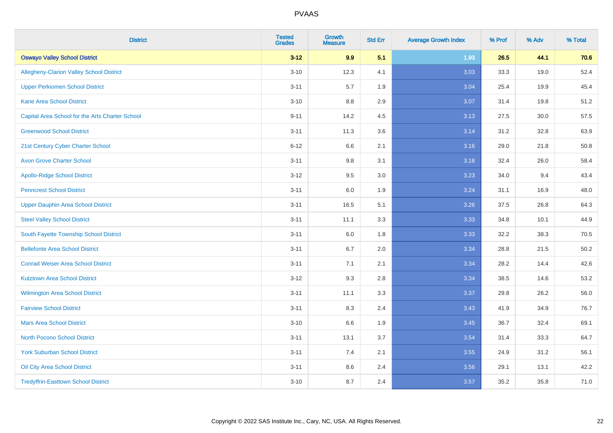| <b>District</b>                                 | <b>Tested</b><br><b>Grades</b> | <b>Growth</b><br><b>Measure</b> | <b>Std Err</b> | <b>Average Growth Index</b> | % Prof | % Adv | % Total |
|-------------------------------------------------|--------------------------------|---------------------------------|----------------|-----------------------------|--------|-------|---------|
| <b>Oswayo Valley School District</b>            | $3 - 12$                       | 9.9                             | 5.1            | 1.93                        | 26.5   | 44.1  | 70.6    |
| Allegheny-Clarion Valley School District        | $3 - 10$                       | 12.3                            | 4.1            | 3.03                        | 33.3   | 19.0  | 52.4    |
| <b>Upper Perkiomen School District</b>          | $3 - 11$                       | 5.7                             | 1.9            | 3.04                        | 25.4   | 19.9  | 45.4    |
| <b>Kane Area School District</b>                | $3 - 10$                       | 8.8                             | 2.9            | 3.07                        | 31.4   | 19.8  | 51.2    |
| Capital Area School for the Arts Charter School | $9 - 11$                       | 14.2                            | 4.5            | 3.13                        | 27.5   | 30.0  | 57.5    |
| <b>Greenwood School District</b>                | $3 - 11$                       | 11.3                            | 3.6            | 3.14                        | 31.2   | 32.8  | 63.9    |
| 21st Century Cyber Charter School               | $6 - 12$                       | 6.6                             | 2.1            | 3.16                        | 29.0   | 21.8  | 50.8    |
| <b>Avon Grove Charter School</b>                | $3 - 11$                       | $9.8\,$                         | 3.1            | 3.18                        | 32.4   | 26.0  | 58.4    |
| <b>Apollo-Ridge School District</b>             | $3 - 12$                       | 9.5                             | 3.0            | 3.23                        | 34.0   | 9.4   | 43.4    |
| <b>Penncrest School District</b>                | $3 - 11$                       | 6.0                             | 1.9            | 3.24                        | 31.1   | 16.9  | 48.0    |
| Upper Dauphin Area School District              | $3 - 11$                       | 16.5                            | 5.1            | 3.26                        | 37.5   | 26.8  | 64.3    |
| <b>Steel Valley School District</b>             | $3 - 11$                       | 11.1                            | 3.3            | 3.33                        | 34.8   | 10.1  | 44.9    |
| South Fayette Township School District          | $3 - 11$                       | 6.0                             | 1.8            | 3.33                        | 32.2   | 38.3  | 70.5    |
| <b>Bellefonte Area School District</b>          | $3 - 11$                       | 6.7                             | 2.0            | 3.34                        | 28.8   | 21.5  | 50.2    |
| <b>Conrad Weiser Area School District</b>       | $3 - 11$                       | 7.1                             | 2.1            | 3.34                        | 28.2   | 14.4  | 42.6    |
| <b>Kutztown Area School District</b>            | $3-12$                         | 9.3                             | 2.8            | 3.34                        | 38.5   | 14.6  | 53.2    |
| Wilmington Area School District                 | $3 - 11$                       | 11.1                            | 3.3            | 3.37                        | 29.8   | 26.2  | 56.0    |
| <b>Fairview School District</b>                 | $3 - 11$                       | 8.3                             | 2.4            | 3.43                        | 41.9   | 34.9  | 76.7    |
| <b>Mars Area School District</b>                | $3 - 10$                       | 6.6                             | 1.9            | 3.45                        | 36.7   | 32.4  | 69.1    |
| <b>North Pocono School District</b>             | $3 - 11$                       | 13.1                            | 3.7            | 3.54                        | 31.4   | 33.3  | 64.7    |
| <b>York Suburban School District</b>            | $3 - 11$                       | 7.4                             | 2.1            | 3.55                        | 24.9   | 31.2  | 56.1    |
| Oil City Area School District                   | $3 - 11$                       | $8.6\,$                         | 2.4            | 3.56                        | 29.1   | 13.1  | 42.2    |
| <b>Tredyffrin-Easttown School District</b>      | $3 - 10$                       | 8.7                             | 2.4            | 3.57                        | 35.2   | 35.8  | 71.0    |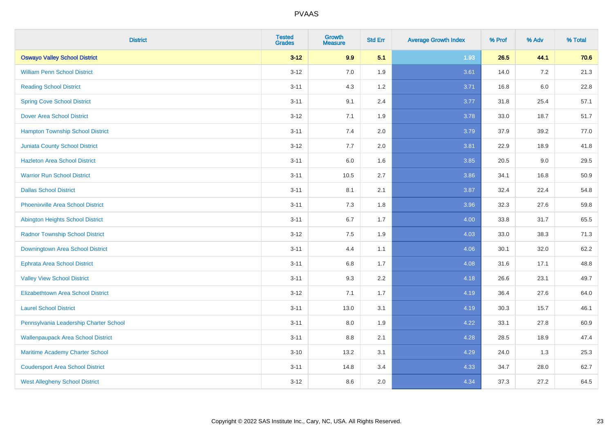| <b>District</b>                           | <b>Tested</b><br><b>Grades</b> | <b>Growth</b><br><b>Measure</b> | <b>Std Err</b> | <b>Average Growth Index</b> | % Prof | % Adv   | % Total |
|-------------------------------------------|--------------------------------|---------------------------------|----------------|-----------------------------|--------|---------|---------|
| <b>Oswayo Valley School District</b>      | $3 - 12$                       | 9.9                             | 5.1            | 1.93                        | 26.5   | 44.1    | 70.6    |
| <b>William Penn School District</b>       | $3 - 12$                       | 7.0                             | 1.9            | 3.61                        | 14.0   | $7.2\,$ | 21.3    |
| <b>Reading School District</b>            | $3 - 11$                       | 4.3                             | 1.2            | 3.71                        | 16.8   | $6.0\,$ | 22.8    |
| <b>Spring Cove School District</b>        | $3 - 11$                       | 9.1                             | 2.4            | 3.77                        | 31.8   | 25.4    | 57.1    |
| <b>Dover Area School District</b>         | $3 - 12$                       | 7.1                             | 1.9            | 3.78                        | 33.0   | 18.7    | 51.7    |
| <b>Hampton Township School District</b>   | $3 - 11$                       | 7.4                             | 2.0            | 3.79                        | 37.9   | 39.2    | 77.0    |
| <b>Juniata County School District</b>     | $3-12$                         | 7.7                             | 2.0            | 3.81                        | 22.9   | 18.9    | 41.8    |
| <b>Hazleton Area School District</b>      | $3 - 11$                       | 6.0                             | 1.6            | 3.85                        | 20.5   | 9.0     | 29.5    |
| <b>Warrior Run School District</b>        | $3 - 11$                       | 10.5                            | 2.7            | 3.86                        | 34.1   | 16.8    | 50.9    |
| <b>Dallas School District</b>             | $3 - 11$                       | 8.1                             | 2.1            | 3.87                        | 32.4   | 22.4    | 54.8    |
| <b>Phoenixville Area School District</b>  | $3 - 11$                       | 7.3                             | 1.8            | 3.96                        | 32.3   | 27.6    | 59.8    |
| Abington Heights School District          | $3 - 11$                       | 6.7                             | 1.7            | 4.00                        | 33.8   | 31.7    | 65.5    |
| <b>Radnor Township School District</b>    | $3 - 12$                       | $7.5\,$                         | 1.9            | 4.03                        | 33.0   | 38.3    | 71.3    |
| Downingtown Area School District          | $3 - 11$                       | 4.4                             | 1.1            | 4.06                        | 30.1   | 32.0    | 62.2    |
| <b>Ephrata Area School District</b>       | $3 - 11$                       | 6.8                             | 1.7            | 4.08                        | 31.6   | 17.1    | 48.8    |
| <b>Valley View School District</b>        | $3 - 11$                       | 9.3                             | 2.2            | 4.18                        | 26.6   | 23.1    | 49.7    |
| <b>Elizabethtown Area School District</b> | $3-12$                         | 7.1                             | 1.7            | 4.19                        | 36.4   | 27.6    | 64.0    |
| <b>Laurel School District</b>             | $3 - 11$                       | 13.0                            | 3.1            | 4.19                        | 30.3   | 15.7    | 46.1    |
| Pennsylvania Leadership Charter School    | $3 - 11$                       | 8.0                             | 1.9            | 4.22                        | 33.1   | 27.8    | 60.9    |
| <b>Wallenpaupack Area School District</b> | $3 - 11$                       | 8.8                             | 2.1            | 4.28                        | 28.5   | 18.9    | 47.4    |
| Maritime Academy Charter School           | $3 - 10$                       | 13.2                            | 3.1            | 4.29                        | 24.0   | 1.3     | 25.3    |
| <b>Coudersport Area School District</b>   | $3 - 11$                       | 14.8                            | 3.4            | 4.33                        | 34.7   | 28.0    | 62.7    |
| <b>West Allegheny School District</b>     | $3-12$                         | 8.6                             | 2.0            | 4.34                        | 37.3   | 27.2    | 64.5    |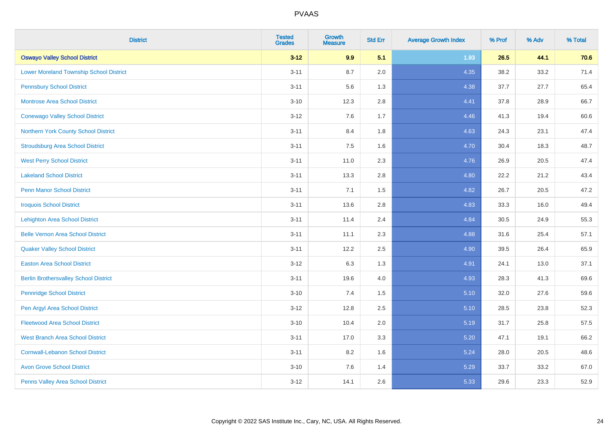| <b>District</b>                                | <b>Tested</b><br><b>Grades</b> | <b>Growth</b><br><b>Measure</b> | <b>Std Err</b> | <b>Average Growth Index</b> | % Prof | % Adv | % Total |
|------------------------------------------------|--------------------------------|---------------------------------|----------------|-----------------------------|--------|-------|---------|
| <b>Oswayo Valley School District</b>           | $3 - 12$                       | 9.9                             | 5.1            | 1.93                        | 26.5   | 44.1  | 70.6    |
| <b>Lower Moreland Township School District</b> | $3 - 11$                       | 8.7                             | 2.0            | 4.35                        | 38.2   | 33.2  | 71.4    |
| <b>Pennsbury School District</b>               | $3 - 11$                       | 5.6                             | 1.3            | 4.38                        | 37.7   | 27.7  | 65.4    |
| <b>Montrose Area School District</b>           | $3 - 10$                       | 12.3                            | 2.8            | 4.41                        | 37.8   | 28.9  | 66.7    |
| <b>Conewago Valley School District</b>         | $3 - 12$                       | 7.6                             | 1.7            | 4.46                        | 41.3   | 19.4  | 60.6    |
| Northern York County School District           | $3 - 11$                       | 8.4                             | 1.8            | 4.63                        | 24.3   | 23.1  | 47.4    |
| <b>Stroudsburg Area School District</b>        | $3 - 11$                       | 7.5                             | 1.6            | 4.70                        | 30.4   | 18.3  | 48.7    |
| <b>West Perry School District</b>              | $3 - 11$                       | 11.0                            | 2.3            | 4.76                        | 26.9   | 20.5  | 47.4    |
| <b>Lakeland School District</b>                | $3 - 11$                       | 13.3                            | 2.8            | 4.80                        | 22.2   | 21.2  | 43.4    |
| <b>Penn Manor School District</b>              | $3 - 11$                       | 7.1                             | 1.5            | 4.82                        | 26.7   | 20.5  | 47.2    |
| <b>Iroquois School District</b>                | $3 - 11$                       | 13.6                            | 2.8            | 4.83                        | 33.3   | 16.0  | 49.4    |
| <b>Lehighton Area School District</b>          | $3 - 11$                       | 11.4                            | 2.4            | 4.84                        | 30.5   | 24.9  | 55.3    |
| <b>Belle Vernon Area School District</b>       | $3 - 11$                       | 11.1                            | 2.3            | 4.88                        | 31.6   | 25.4  | 57.1    |
| <b>Quaker Valley School District</b>           | $3 - 11$                       | 12.2                            | 2.5            | 4.90                        | 39.5   | 26.4  | 65.9    |
| <b>Easton Area School District</b>             | $3 - 12$                       | 6.3                             | 1.3            | 4.91                        | 24.1   | 13.0  | 37.1    |
| <b>Berlin Brothersvalley School District</b>   | $3 - 11$                       | 19.6                            | 4.0            | 4.93                        | 28.3   | 41.3  | 69.6    |
| <b>Pennridge School District</b>               | $3 - 10$                       | 7.4                             | 1.5            | 5.10                        | 32.0   | 27.6  | 59.6    |
| Pen Argyl Area School District                 | $3 - 12$                       | 12.8                            | 2.5            | 5.10                        | 28.5   | 23.8  | 52.3    |
| <b>Fleetwood Area School District</b>          | $3 - 10$                       | 10.4                            | 2.0            | 5.19                        | 31.7   | 25.8  | 57.5    |
| <b>West Branch Area School District</b>        | $3 - 11$                       | 17.0                            | 3.3            | 5.20                        | 47.1   | 19.1  | 66.2    |
| <b>Cornwall-Lebanon School District</b>        | $3 - 11$                       | 8.2                             | 1.6            | 5.24                        | 28.0   | 20.5  | 48.6    |
| <b>Avon Grove School District</b>              | $3 - 10$                       | 7.6                             | 1.4            | 5.29                        | 33.7   | 33.2  | 67.0    |
| Penns Valley Area School District              | $3 - 12$                       | 14.1                            | 2.6            | 5.33                        | 29.6   | 23.3  | 52.9    |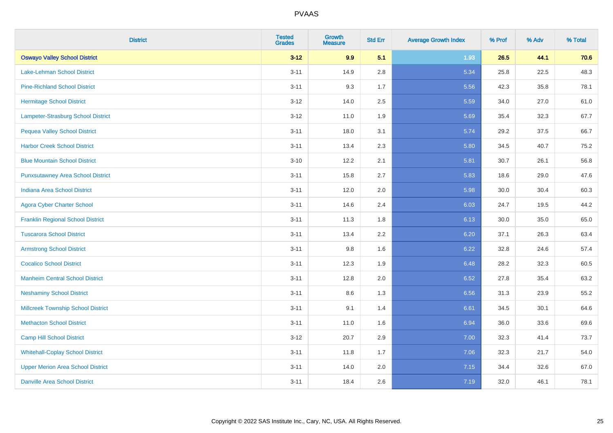| <b>District</b>                           | <b>Tested</b><br><b>Grades</b> | <b>Growth</b><br><b>Measure</b> | <b>Std Err</b> | <b>Average Growth Index</b> | % Prof | % Adv | % Total |
|-------------------------------------------|--------------------------------|---------------------------------|----------------|-----------------------------|--------|-------|---------|
| <b>Oswayo Valley School District</b>      | $3 - 12$                       | 9.9                             | 5.1            | 1.93                        | 26.5   | 44.1  | 70.6    |
| <b>Lake-Lehman School District</b>        | $3 - 11$                       | 14.9                            | 2.8            | 5.34                        | 25.8   | 22.5  | 48.3    |
| <b>Pine-Richland School District</b>      | $3 - 11$                       | 9.3                             | 1.7            | 5.56                        | 42.3   | 35.8  | 78.1    |
| <b>Hermitage School District</b>          | $3 - 12$                       | 14.0                            | 2.5            | 5.59                        | 34.0   | 27.0  | 61.0    |
| Lampeter-Strasburg School District        | $3-12$                         | 11.0                            | 1.9            | 5.69                        | 35.4   | 32.3  | 67.7    |
| <b>Pequea Valley School District</b>      | $3 - 11$                       | 18.0                            | 3.1            | 5.74                        | 29.2   | 37.5  | 66.7    |
| <b>Harbor Creek School District</b>       | $3 - 11$                       | 13.4                            | 2.3            | 5.80                        | 34.5   | 40.7  | 75.2    |
| <b>Blue Mountain School District</b>      | $3 - 10$                       | 12.2                            | 2.1            | 5.81                        | 30.7   | 26.1  | 56.8    |
| <b>Punxsutawney Area School District</b>  | $3 - 11$                       | 15.8                            | 2.7            | 5.83                        | 18.6   | 29.0  | 47.6    |
| <b>Indiana Area School District</b>       | $3 - 11$                       | 12.0                            | 2.0            | 5.98                        | 30.0   | 30.4  | 60.3    |
| <b>Agora Cyber Charter School</b>         | $3 - 11$                       | 14.6                            | 2.4            | 6.03                        | 24.7   | 19.5  | 44.2    |
| <b>Franklin Regional School District</b>  | $3 - 11$                       | 11.3                            | 1.8            | 6.13                        | 30.0   | 35.0  | 65.0    |
| <b>Tuscarora School District</b>          | $3 - 11$                       | 13.4                            | 2.2            | 6.20                        | 37.1   | 26.3  | 63.4    |
| <b>Armstrong School District</b>          | $3 - 11$                       | 9.8                             | 1.6            | 6.22                        | 32.8   | 24.6  | 57.4    |
| <b>Cocalico School District</b>           | $3 - 11$                       | 12.3                            | 1.9            | 6.48                        | 28.2   | 32.3  | 60.5    |
| <b>Manheim Central School District</b>    | $3 - 11$                       | 12.8                            | 2.0            | 6.52                        | 27.8   | 35.4  | 63.2    |
| <b>Neshaminy School District</b>          | $3 - 11$                       | 8.6                             | 1.3            | 6.56                        | 31.3   | 23.9  | 55.2    |
| <b>Millcreek Township School District</b> | $3 - 11$                       | 9.1                             | 1.4            | 6.61                        | 34.5   | 30.1  | 64.6    |
| <b>Methacton School District</b>          | $3 - 11$                       | 11.0                            | 1.6            | 6.94                        | 36.0   | 33.6  | 69.6    |
| <b>Camp Hill School District</b>          | $3-12$                         | 20.7                            | 2.9            | 7.00                        | 32.3   | 41.4  | 73.7    |
| <b>Whitehall-Coplay School District</b>   | $3 - 11$                       | 11.8                            | 1.7            | 7.06                        | 32.3   | 21.7  | 54.0    |
| <b>Upper Merion Area School District</b>  | $3 - 11$                       | 14.0                            | 2.0            | 7.15                        | 34.4   | 32.6  | 67.0    |
| <b>Danville Area School District</b>      | $3 - 11$                       | 18.4                            | 2.6            | 7.19                        | 32.0   | 46.1  | 78.1    |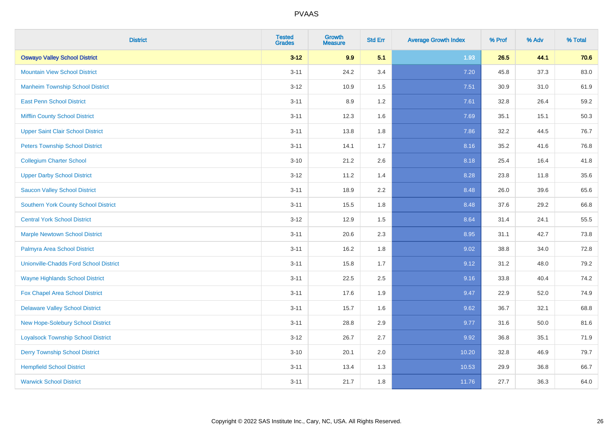| <b>District</b>                               | <b>Tested</b><br><b>Grades</b> | <b>Growth</b><br><b>Measure</b> | <b>Std Err</b> | <b>Average Growth Index</b> | % Prof | % Adv | % Total |
|-----------------------------------------------|--------------------------------|---------------------------------|----------------|-----------------------------|--------|-------|---------|
| <b>Oswayo Valley School District</b>          | $3 - 12$                       | 9.9                             | 5.1            | 1.93                        | 26.5   | 44.1  | 70.6    |
| <b>Mountain View School District</b>          | $3 - 11$                       | 24.2                            | 3.4            | 7.20                        | 45.8   | 37.3  | 83.0    |
| <b>Manheim Township School District</b>       | $3 - 12$                       | 10.9                            | 1.5            | 7.51                        | 30.9   | 31.0  | 61.9    |
| <b>East Penn School District</b>              | $3 - 11$                       | 8.9                             | 1.2            | 7.61                        | 32.8   | 26.4  | 59.2    |
| <b>Mifflin County School District</b>         | $3 - 11$                       | 12.3                            | 1.6            | 7.69                        | 35.1   | 15.1  | 50.3    |
| <b>Upper Saint Clair School District</b>      | $3 - 11$                       | 13.8                            | 1.8            | 7.86                        | 32.2   | 44.5  | 76.7    |
| <b>Peters Township School District</b>        | $3 - 11$                       | 14.1                            | 1.7            | 8.16                        | 35.2   | 41.6  | 76.8    |
| <b>Collegium Charter School</b>               | $3 - 10$                       | 21.2                            | 2.6            | 8.18                        | 25.4   | 16.4  | 41.8    |
| <b>Upper Darby School District</b>            | $3 - 12$                       | 11.2                            | 1.4            | 8.28                        | 23.8   | 11.8  | 35.6    |
| <b>Saucon Valley School District</b>          | $3 - 11$                       | 18.9                            | 2.2            | 8.48                        | 26.0   | 39.6  | 65.6    |
| <b>Southern York County School District</b>   | $3 - 11$                       | 15.5                            | 1.8            | 8.48                        | 37.6   | 29.2  | 66.8    |
| <b>Central York School District</b>           | $3 - 12$                       | 12.9                            | 1.5            | 8.64                        | 31.4   | 24.1  | 55.5    |
| <b>Marple Newtown School District</b>         | $3 - 11$                       | 20.6                            | 2.3            | 8.95                        | 31.1   | 42.7  | 73.8    |
| Palmyra Area School District                  | $3 - 11$                       | 16.2                            | 1.8            | 9.02                        | 38.8   | 34.0  | 72.8    |
| <b>Unionville-Chadds Ford School District</b> | $3 - 11$                       | 15.8                            | 1.7            | 9.12                        | 31.2   | 48.0  | 79.2    |
| <b>Wayne Highlands School District</b>        | $3 - 11$                       | 22.5                            | 2.5            | 9.16                        | 33.8   | 40.4  | 74.2    |
| Fox Chapel Area School District               | $3 - 11$                       | 17.6                            | 1.9            | 9.47                        | 22.9   | 52.0  | 74.9    |
| <b>Delaware Valley School District</b>        | $3 - 11$                       | 15.7                            | 1.6            | 9.62                        | 36.7   | 32.1  | 68.8    |
| New Hope-Solebury School District             | $3 - 11$                       | 28.8                            | 2.9            | 9.77                        | 31.6   | 50.0  | 81.6    |
| <b>Loyalsock Township School District</b>     | $3 - 12$                       | 26.7                            | 2.7            | 9.92                        | 36.8   | 35.1  | 71.9    |
| <b>Derry Township School District</b>         | $3 - 10$                       | 20.1                            | 2.0            | 10.20                       | 32.8   | 46.9  | 79.7    |
| <b>Hempfield School District</b>              | $3 - 11$                       | 13.4                            | 1.3            | 10.53                       | 29.9   | 36.8  | 66.7    |
| <b>Warwick School District</b>                | $3 - 11$                       | 21.7                            | 1.8            | 11.76                       | 27.7   | 36.3  | 64.0    |